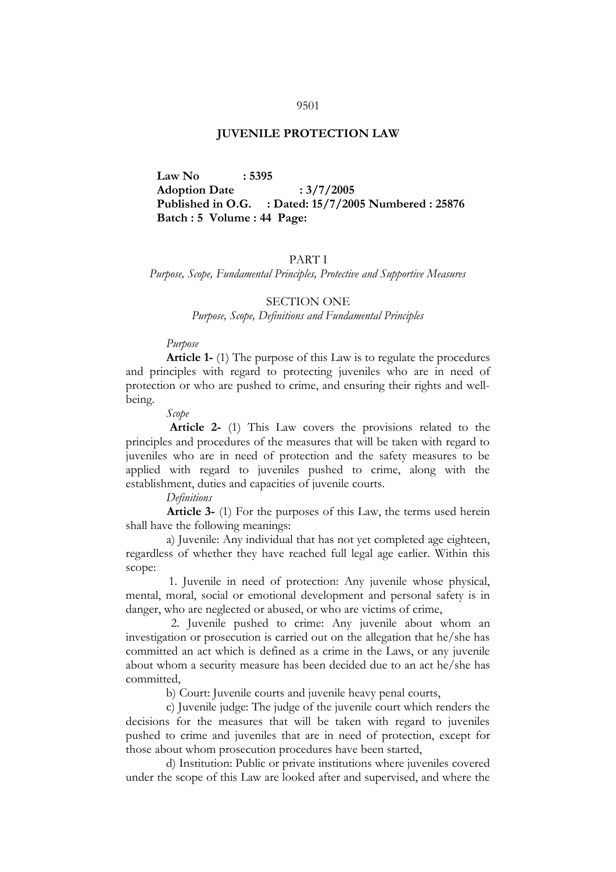#### 9501

### **JUVENILE PROTECTION LAW**

 **Law No : 5395 Adoption Date : 3/7/2005 Published in O.G. : Dated: 15/7/2005 Numbered : 25876 Batch : 5 Volume : 44 Page:**

### PART I

*Purpose, Scope, Fundamental Principles, Protective and Supportive Measures*

### SECTION ONE

*Purpose, Scope, Definitions and Fundamental Principles*

### *Purpose*

 **Article 1-** (1) The purpose of this Law is to regulate the procedures and principles with regard to protecting juveniles who are in need of protection or who are pushed to crime, and ensuring their rights and wellbeing.

 *Scope* 

 **Article 2-** (1) This Law covers the provisions related to the principles and procedures of the measures that will be taken with regard to juveniles who are in need of protection and the safety measures to be applied with regard to juveniles pushed to crime, along with the establishment, duties and capacities of juvenile courts.

 *Definitions*

 **Article 3-** (1) For the purposes of this Law, the terms used herein shall have the following meanings:

 a) Juvenile: Any individual that has not yet completed age eighteen, regardless of whether they have reached full legal age earlier. Within this scope:

 1. Juvenile in need of protection: Any juvenile whose physical, mental, moral, social or emotional development and personal safety is in danger, who are neglected or abused, or who are victims of crime,

 2. Juvenile pushed to crime: Any juvenile about whom an investigation or prosecution is carried out on the allegation that he/she has committed an act which is defined as a crime in the Laws, or any juvenile about whom a security measure has been decided due to an act he/she has committed,

b) Court: Juvenile courts and juvenile heavy penal courts,

 c) Juvenile judge: The judge of the juvenile court which renders the decisions for the measures that will be taken with regard to juveniles pushed to crime and juveniles that are in need of protection, except for those about whom prosecution procedures have been started,

 d) Institution: Public or private institutions where juveniles covered under the scope of this Law are looked after and supervised, and where the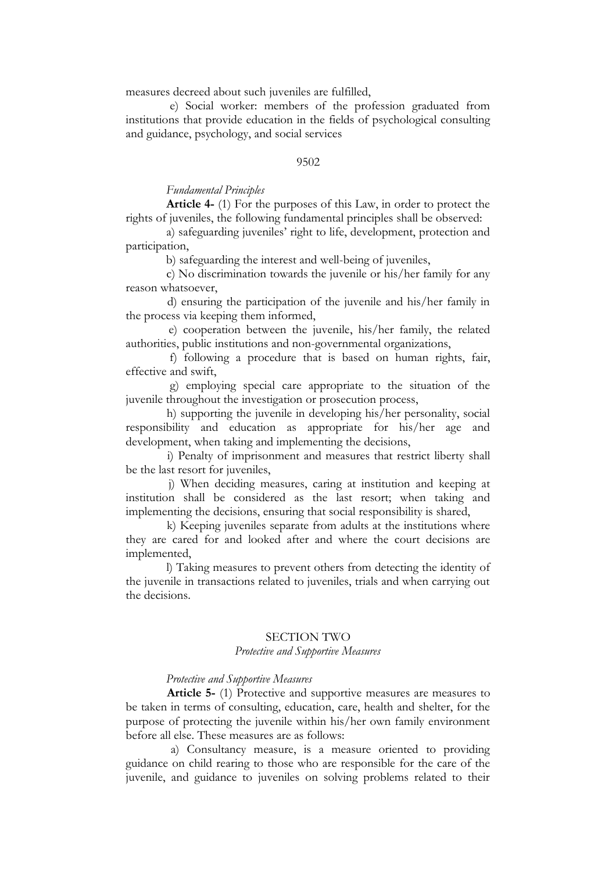measures decreed about such juveniles are fulfilled,

 e) Social worker: members of the profession graduated from institutions that provide education in the fields of psychological consulting and guidance, psychology, and social services

#### 9502

### *Fundamental Principles*

 **Article 4-** (1) For the purposes of this Law, in order to protect the rights of juveniles, the following fundamental principles shall be observed:

 a) safeguarding juveniles' right to life, development, protection and participation,

b) safeguarding the interest and well-being of juveniles,

 c) No discrimination towards the juvenile or his/her family for any reason whatsoever,

 d) ensuring the participation of the juvenile and his/her family in the process via keeping them informed,

 e) cooperation between the juvenile, his/her family, the related authorities, public institutions and non-governmental organizations,

 f) following a procedure that is based on human rights, fair, effective and swift,

 g) employing special care appropriate to the situation of the juvenile throughout the investigation or prosecution process,

 h) supporting the juvenile in developing his/her personality, social responsibility and education as appropriate for his/her age and development, when taking and implementing the decisions,

 i) Penalty of imprisonment and measures that restrict liberty shall be the last resort for juveniles,

 j) When deciding measures, caring at institution and keeping at institution shall be considered as the last resort; when taking and implementing the decisions, ensuring that social responsibility is shared,

 k) Keeping juveniles separate from adults at the institutions where they are cared for and looked after and where the court decisions are implemented,

 l) Taking measures to prevent others from detecting the identity of the juvenile in transactions related to juveniles, trials and when carrying out the decisions.

#### SECTION TWO

### *Protective and Supportive Measures*

### *Protective and Supportive Measures*

 **Article 5-** (1) Protective and supportive measures are measures to be taken in terms of consulting, education, care, health and shelter, for the purpose of protecting the juvenile within his/her own family environment before all else. These measures are as follows:

 a) Consultancy measure, is a measure oriented to providing guidance on child rearing to those who are responsible for the care of the juvenile, and guidance to juveniles on solving problems related to their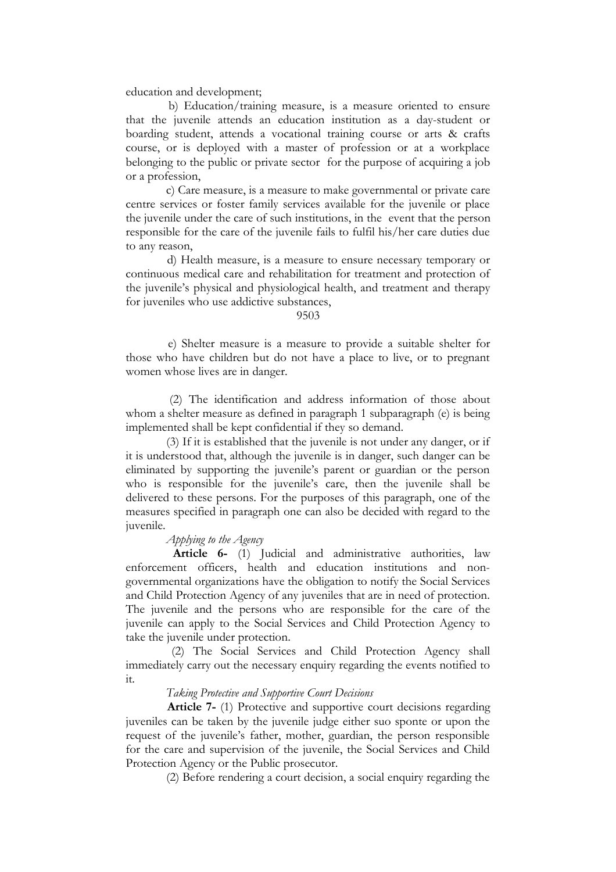education and development;

 b) Education/training measure, is a measure oriented to ensure that the juvenile attends an education institution as a day-student or boarding student, attends a vocational training course or arts & crafts course, or is deployed with a master of profession or at a workplace belonging to the public or private sector for the purpose of acquiring a job or a profession,

 c) Care measure, is a measure to make governmental or private care centre services or foster family services available for the juvenile or place the juvenile under the care of such institutions, in the event that the person responsible for the care of the juvenile fails to fulfil his/her care duties due to any reason,

 d) Health measure, is a measure to ensure necessary temporary or continuous medical care and rehabilitation for treatment and protection of the juvenile's physical and physiological health, and treatment and therapy for juveniles who use addictive substances,

#### 9503

 e) Shelter measure is a measure to provide a suitable shelter for those who have children but do not have a place to live, or to pregnant women whose lives are in danger.

 (2) The identification and address information of those about whom a shelter measure as defined in paragraph 1 subparagraph (e) is being implemented shall be kept confidential if they so demand.

 (3) If it is established that the juvenile is not under any danger, or if it is understood that, although the juvenile is in danger, such danger can be eliminated by supporting the juvenile's parent or guardian or the person who is responsible for the juvenile's care, then the juvenile shall be delivered to these persons. For the purposes of this paragraph, one of the measures specified in paragraph one can also be decided with regard to the juvenile.

### *Applying to the Agency*

 **Article 6-** (1) Judicial and administrative authorities, law enforcement officers, health and education institutions and nongovernmental organizations have the obligation to notify the Social Services and Child Protection Agency of any juveniles that are in need of protection. The juvenile and the persons who are responsible for the care of the juvenile can apply to the Social Services and Child Protection Agency to take the juvenile under protection.

 (2) The Social Services and Child Protection Agency shall immediately carry out the necessary enquiry regarding the events notified to it.

### *Taking Protective and Supportive Court Decisions*

 **Article 7-** (1) Protective and supportive court decisions regarding juveniles can be taken by the juvenile judge either suo sponte or upon the request of the juvenile's father, mother, guardian, the person responsible for the care and supervision of the juvenile, the Social Services and Child Protection Agency or the Public prosecutor.

(2) Before rendering a court decision, a social enquiry regarding the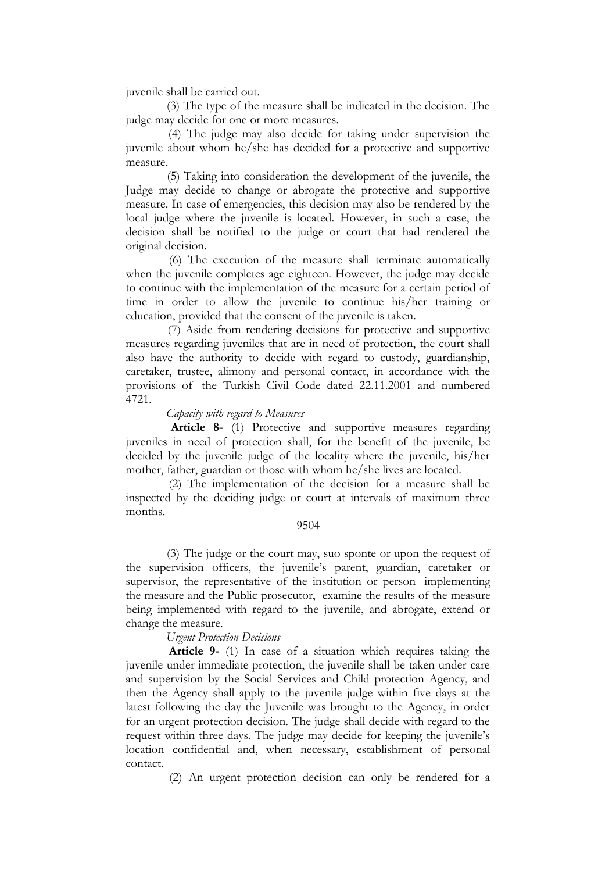juvenile shall be carried out.

 (3) The type of the measure shall be indicated in the decision. The judge may decide for one or more measures.

 (4) The judge may also decide for taking under supervision the juvenile about whom he/she has decided for a protective and supportive measure.

 (5) Taking into consideration the development of the juvenile, the Judge may decide to change or abrogate the protective and supportive measure. In case of emergencies, this decision may also be rendered by the local judge where the juvenile is located. However, in such a case, the decision shall be notified to the judge or court that had rendered the original decision.

 (6) The execution of the measure shall terminate automatically when the juvenile completes age eighteen. However, the judge may decide to continue with the implementation of the measure for a certain period of time in order to allow the juvenile to continue his/her training or education, provided that the consent of the juvenile is taken.

 (7) Aside from rendering decisions for protective and supportive measures regarding juveniles that are in need of protection, the court shall also have the authority to decide with regard to custody, guardianship, caretaker, trustee, alimony and personal contact, in accordance with the provisions of the Turkish Civil Code dated 22.11.2001 and numbered 4721.

### *Capacity with regard to Measures*

 **Article 8-** (1) Protective and supportive measures regarding juveniles in need of protection shall, for the benefit of the juvenile, be decided by the juvenile judge of the locality where the juvenile, his/her mother, father, guardian or those with whom he/she lives are located.

 (2) The implementation of the decision for a measure shall be inspected by the deciding judge or court at intervals of maximum three months.

### 9504

 (3) The judge or the court may, suo sponte or upon the request of the supervision officers, the juvenile's parent, guardian, caretaker or supervisor, the representative of the institution or person implementing the measure and the Public prosecutor, examine the results of the measure being implemented with regard to the juvenile, and abrogate, extend or change the measure.

### *Urgent Protection Decisions*

 **Article 9-** (1) In case of a situation which requires taking the juvenile under immediate protection, the juvenile shall be taken under care and supervision by the Social Services and Child protection Agency, and then the Agency shall apply to the juvenile judge within five days at the latest following the day the Juvenile was brought to the Agency, in order for an urgent protection decision. The judge shall decide with regard to the request within three days. The judge may decide for keeping the juvenile's location confidential and, when necessary, establishment of personal contact.

(2) An urgent protection decision can only be rendered for a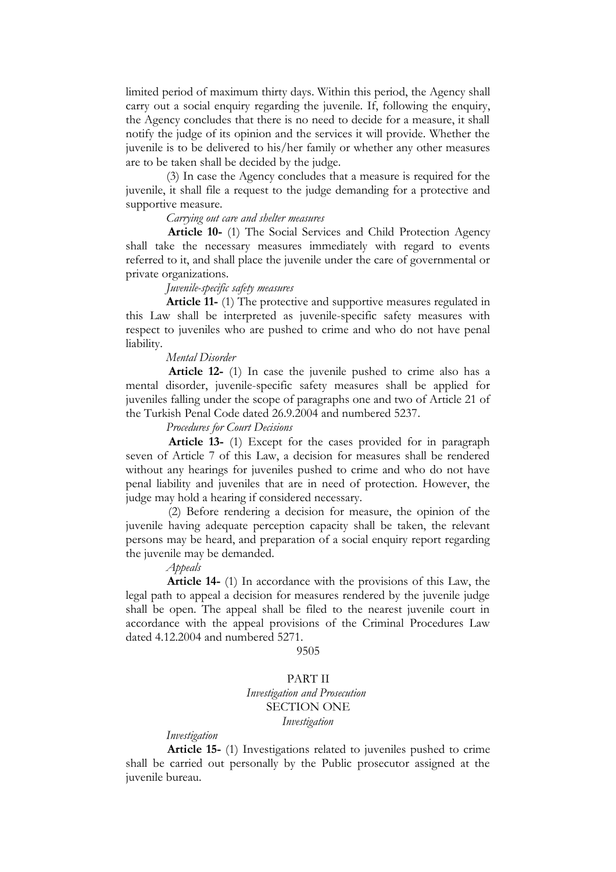limited period of maximum thirty days. Within this period, the Agency shall carry out a social enquiry regarding the juvenile. If, following the enquiry, the Agency concludes that there is no need to decide for a measure, it shall notify the judge of its opinion and the services it will provide. Whether the juvenile is to be delivered to his/her family or whether any other measures are to be taken shall be decided by the judge.

 (3) In case the Agency concludes that a measure is required for the juvenile, it shall file a request to the judge demanding for a protective and supportive measure.

### *Carrying out care and shelter measures*

 **Article 10-** (1) The Social Services and Child Protection Agency shall take the necessary measures immediately with regard to events referred to it, and shall place the juvenile under the care of governmental or private organizations.

### *Juvenile-specific safety measures*

 **Article 11-** (1) The protective and supportive measures regulated in this Law shall be interpreted as juvenile-specific safety measures with respect to juveniles who are pushed to crime and who do not have penal liability.

### *Mental Disorder*

 **Article 12-** (1) In case the juvenile pushed to crime also has a mental disorder, juvenile-specific safety measures shall be applied for juveniles falling under the scope of paragraphs one and two of Article 21 of the Turkish Penal Code dated 26.9.2004 and numbered 5237.

### *Procedures for Court Decisions*

 **Article 13-** (1) Except for the cases provided for in paragraph seven of Article 7 of this Law, a decision for measures shall be rendered without any hearings for juveniles pushed to crime and who do not have penal liability and juveniles that are in need of protection. However, the judge may hold a hearing if considered necessary.

 (2) Before rendering a decision for measure, the opinion of the juvenile having adequate perception capacity shall be taken, the relevant persons may be heard, and preparation of a social enquiry report regarding the juvenile may be demanded.

 *Appeals*

 **Article 14-** (1) In accordance with the provisions of this Law, the legal path to appeal a decision for measures rendered by the juvenile judge shall be open. The appeal shall be filed to the nearest juvenile court in accordance with the appeal provisions of the Criminal Procedures Law dated 4.12.2004 and numbered 5271.

9505

### PART II *Investigation and Prosecution*  SECTION ONE *Investigation*

### *Investigation*

 **Article 15-** (1) Investigations related to juveniles pushed to crime shall be carried out personally by the Public prosecutor assigned at the juvenile bureau.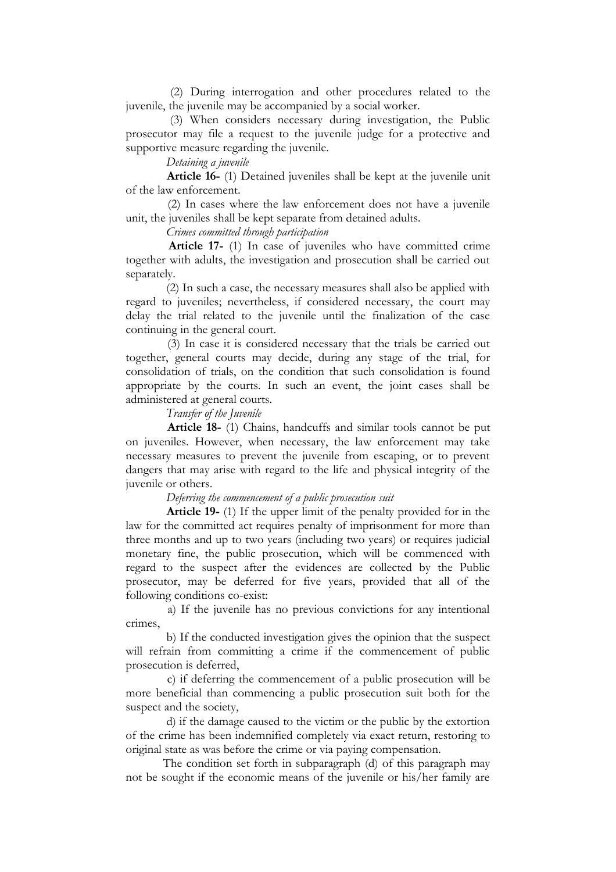(2) During interrogation and other procedures related to the juvenile, the juvenile may be accompanied by a social worker.

 (3) When considers necessary during investigation, the Public prosecutor may file a request to the juvenile judge for a protective and supportive measure regarding the juvenile.

 *Detaining a juvenile* 

 **Article 16-** (1) Detained juveniles shall be kept at the juvenile unit of the law enforcement.

 (2) In cases where the law enforcement does not have a juvenile unit, the juveniles shall be kept separate from detained adults.

 *Crimes committed through participation* 

 **Article 17-** (1) In case of juveniles who have committed crime together with adults, the investigation and prosecution shall be carried out separately.

 (2) In such a case, the necessary measures shall also be applied with regard to juveniles; nevertheless, if considered necessary, the court may delay the trial related to the juvenile until the finalization of the case continuing in the general court.

 (3) In case it is considered necessary that the trials be carried out together, general courts may decide, during any stage of the trial, for consolidation of trials, on the condition that such consolidation is found appropriate by the courts. In such an event, the joint cases shall be administered at general courts.

 *Transfer of the Juvenile* 

 **Article 18-** (1) Chains, handcuffs and similar tools cannot be put on juveniles. However, when necessary, the law enforcement may take necessary measures to prevent the juvenile from escaping, or to prevent dangers that may arise with regard to the life and physical integrity of the juvenile or others.

 *Deferring the commencement of a public prosecution suit* 

 **Article 19-** (1) If the upper limit of the penalty provided for in the law for the committed act requires penalty of imprisonment for more than three months and up to two years (including two years) or requires judicial monetary fine, the public prosecution, which will be commenced with regard to the suspect after the evidences are collected by the Public prosecutor, may be deferred for five years, provided that all of the following conditions co-exist:

 a) If the juvenile has no previous convictions for any intentional crimes,

 b) If the conducted investigation gives the opinion that the suspect will refrain from committing a crime if the commencement of public prosecution is deferred,

 c) if deferring the commencement of a public prosecution will be more beneficial than commencing a public prosecution suit both for the suspect and the society,

 d) if the damage caused to the victim or the public by the extortion of the crime has been indemnified completely via exact return, restoring to original state as was before the crime or via paying compensation.

The condition set forth in subparagraph (d) of this paragraph may not be sought if the economic means of the juvenile or his/her family are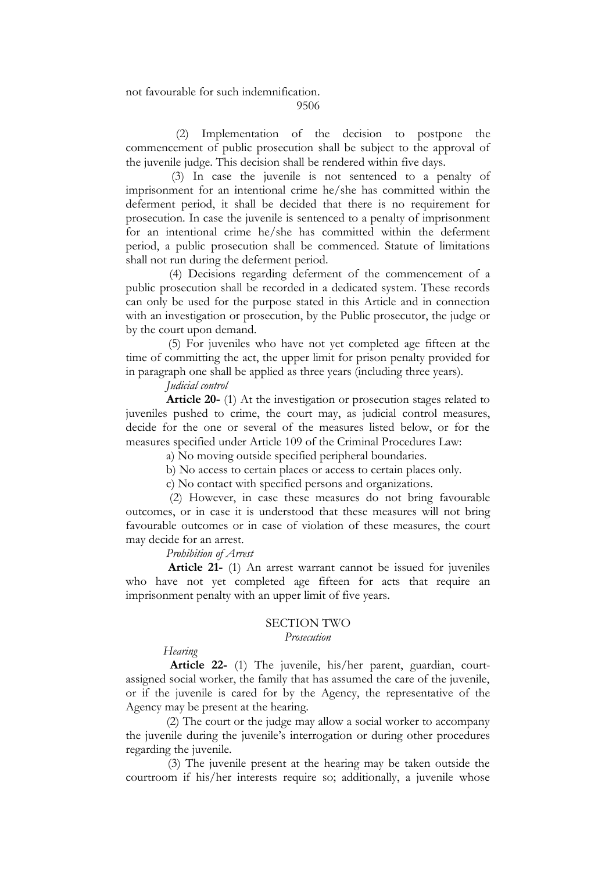### not favourable for such indemnification.

9506

 (2) Implementation of the decision to postpone the commencement of public prosecution shall be subject to the approval of the juvenile judge. This decision shall be rendered within five days.

 (3) In case the juvenile is not sentenced to a penalty of imprisonment for an intentional crime he/she has committed within the deferment period, it shall be decided that there is no requirement for prosecution. In case the juvenile is sentenced to a penalty of imprisonment for an intentional crime he/she has committed within the deferment period, a public prosecution shall be commenced. Statute of limitations shall not run during the deferment period.

 (4) Decisions regarding deferment of the commencement of a public prosecution shall be recorded in a dedicated system. These records can only be used for the purpose stated in this Article and in connection with an investigation or prosecution, by the Public prosecutor, the judge or by the court upon demand.

 (5) For juveniles who have not yet completed age fifteen at the time of committing the act, the upper limit for prison penalty provided for in paragraph one shall be applied as three years (including three years).

 *Judicial control* 

 **Article 20-** (1) At the investigation or prosecution stages related to juveniles pushed to crime, the court may, as judicial control measures, decide for the one or several of the measures listed below, or for the measures specified under Article 109 of the Criminal Procedures Law:

a) No moving outside specified peripheral boundaries.

b) No access to certain places or access to certain places only.

c) No contact with specified persons and organizations.

 (2) However, in case these measures do not bring favourable outcomes, or in case it is understood that these measures will not bring favourable outcomes or in case of violation of these measures, the court may decide for an arrest.

 *Prohibition of Arrest* 

 **Article 21-** (1) An arrest warrant cannot be issued for juveniles who have not yet completed age fifteen for acts that require an imprisonment penalty with an upper limit of five years.

### SECTION TWO

### *Prosecution*

### *Hearing*

 **Article 22-** (1) The juvenile, his/her parent, guardian, courtassigned social worker, the family that has assumed the care of the juvenile, or if the juvenile is cared for by the Agency, the representative of the Agency may be present at the hearing.

 (2) The court or the judge may allow a social worker to accompany the juvenile during the juvenile's interrogation or during other procedures regarding the juvenile.

 (3) The juvenile present at the hearing may be taken outside the courtroom if his/her interests require so; additionally, a juvenile whose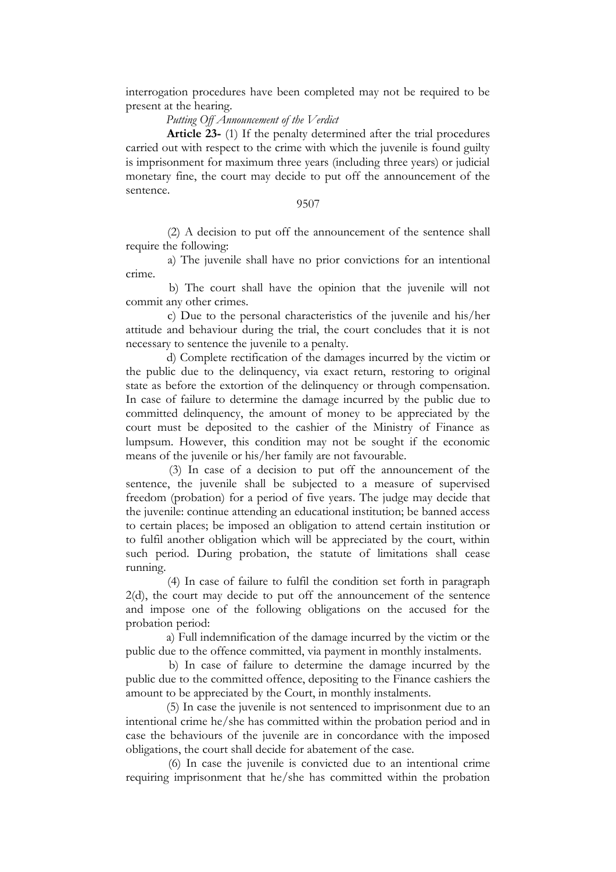interrogation procedures have been completed may not be required to be present at the hearing.

### *Putting Off Announcement of the Verdict*

 **Article 23-** (1) If the penalty determined after the trial procedures carried out with respect to the crime with which the juvenile is found guilty is imprisonment for maximum three years (including three years) or judicial monetary fine, the court may decide to put off the announcement of the sentence.

### 9507

 (2) A decision to put off the announcement of the sentence shall require the following:

 a) The juvenile shall have no prior convictions for an intentional crime.

 b) The court shall have the opinion that the juvenile will not commit any other crimes.

 c) Due to the personal characteristics of the juvenile and his/her attitude and behaviour during the trial, the court concludes that it is not necessary to sentence the juvenile to a penalty.

 d) Complete rectification of the damages incurred by the victim or the public due to the delinquency, via exact return, restoring to original state as before the extortion of the delinquency or through compensation. In case of failure to determine the damage incurred by the public due to committed delinquency, the amount of money to be appreciated by the court must be deposited to the cashier of the Ministry of Finance as lumpsum. However, this condition may not be sought if the economic means of the juvenile or his/her family are not favourable.

 (3) In case of a decision to put off the announcement of the sentence, the juvenile shall be subjected to a measure of supervised freedom (probation) for a period of five years. The judge may decide that the juvenile: continue attending an educational institution; be banned access to certain places; be imposed an obligation to attend certain institution or to fulfil another obligation which will be appreciated by the court, within such period. During probation, the statute of limitations shall cease running.

 (4) In case of failure to fulfil the condition set forth in paragraph 2(d), the court may decide to put off the announcement of the sentence and impose one of the following obligations on the accused for the probation period:

 a) Full indemnification of the damage incurred by the victim or the public due to the offence committed, via payment in monthly instalments.

 b) In case of failure to determine the damage incurred by the public due to the committed offence, depositing to the Finance cashiers the amount to be appreciated by the Court, in monthly instalments.

 (5) In case the juvenile is not sentenced to imprisonment due to an intentional crime he/she has committed within the probation period and in case the behaviours of the juvenile are in concordance with the imposed obligations, the court shall decide for abatement of the case.

 (6) In case the juvenile is convicted due to an intentional crime requiring imprisonment that he/she has committed within the probation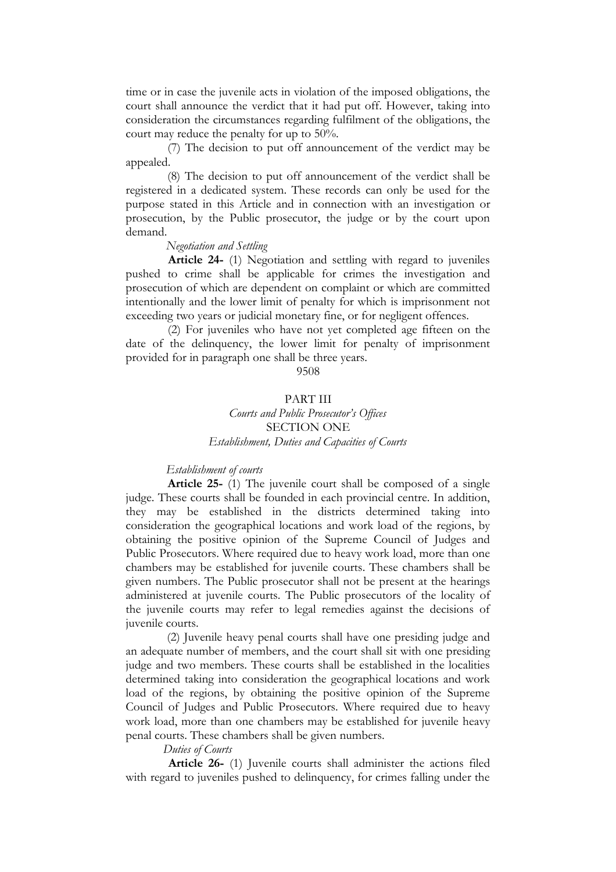time or in case the juvenile acts in violation of the imposed obligations, the court shall announce the verdict that it had put off. However, taking into consideration the circumstances regarding fulfilment of the obligations, the court may reduce the penalty for up to 50%.

 (7) The decision to put off announcement of the verdict may be appealed.

 (8) The decision to put off announcement of the verdict shall be registered in a dedicated system. These records can only be used for the purpose stated in this Article and in connection with an investigation or prosecution, by the Public prosecutor, the judge or by the court upon demand.

### *Negotiation and Settling*

 **Article 24-** (1) Negotiation and settling with regard to juveniles pushed to crime shall be applicable for crimes the investigation and prosecution of which are dependent on complaint or which are committed intentionally and the lower limit of penalty for which is imprisonment not exceeding two years or judicial monetary fine, or for negligent offences.

 (2) For juveniles who have not yet completed age fifteen on the date of the delinquency, the lower limit for penalty of imprisonment provided for in paragraph one shall be three years.

9508

### PART III *Courts and Public Prosecutor's Offices* SECTION ONE *Establishment, Duties and Capacities of Courts*

### *Establishment of courts*

 **Article 25-** (1) The juvenile court shall be composed of a single judge. These courts shall be founded in each provincial centre. In addition, they may be established in the districts determined taking into consideration the geographical locations and work load of the regions, by obtaining the positive opinion of the Supreme Council of Judges and Public Prosecutors. Where required due to heavy work load, more than one chambers may be established for juvenile courts. These chambers shall be given numbers. The Public prosecutor shall not be present at the hearings administered at juvenile courts. The Public prosecutors of the locality of the juvenile courts may refer to legal remedies against the decisions of juvenile courts.

 (2) Juvenile heavy penal courts shall have one presiding judge and an adequate number of members, and the court shall sit with one presiding judge and two members. These courts shall be established in the localities determined taking into consideration the geographical locations and work load of the regions, by obtaining the positive opinion of the Supreme Council of Judges and Public Prosecutors. Where required due to heavy work load, more than one chambers may be established for juvenile heavy penal courts. These chambers shall be given numbers.

### *Duties of Courts*

 **Article 26-** (1) Juvenile courts shall administer the actions filed with regard to juveniles pushed to delinquency, for crimes falling under the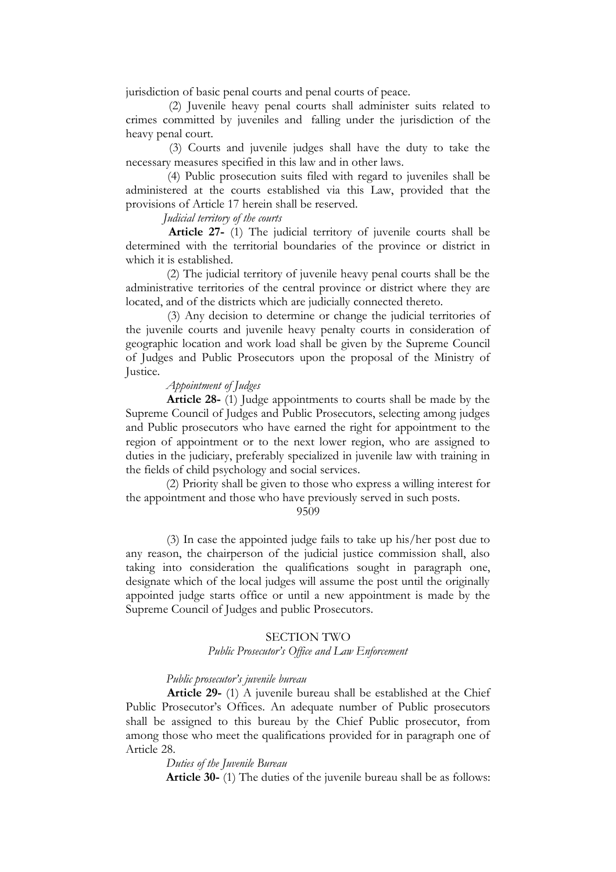jurisdiction of basic penal courts and penal courts of peace.

 (2) Juvenile heavy penal courts shall administer suits related to crimes committed by juveniles and falling under the jurisdiction of the heavy penal court.

 (3) Courts and juvenile judges shall have the duty to take the necessary measures specified in this law and in other laws.

 (4) Public prosecution suits filed with regard to juveniles shall be administered at the courts established via this Law, provided that the provisions of Article 17 herein shall be reserved.

### *Judicial territory of the courts*

 **Article 27-** (1) The judicial territory of juvenile courts shall be determined with the territorial boundaries of the province or district in which it is established.

 (2) The judicial territory of juvenile heavy penal courts shall be the administrative territories of the central province or district where they are located, and of the districts which are judicially connected thereto.

 (3) Any decision to determine or change the judicial territories of the juvenile courts and juvenile heavy penalty courts in consideration of geographic location and work load shall be given by the Supreme Council of Judges and Public Prosecutors upon the proposal of the Ministry of Justice.

### *Appointment of Judges*

 **Article 28-** (1) Judge appointments to courts shall be made by the Supreme Council of Judges and Public Prosecutors, selecting among judges and Public prosecutors who have earned the right for appointment to the region of appointment or to the next lower region, who are assigned to duties in the judiciary, preferably specialized in juvenile law with training in the fields of child psychology and social services.

 (2) Priority shall be given to those who express a willing interest for the appointment and those who have previously served in such posts.

9509

 (3) In case the appointed judge fails to take up his/her post due to any reason, the chairperson of the judicial justice commission shall, also taking into consideration the qualifications sought in paragraph one, designate which of the local judges will assume the post until the originally appointed judge starts office or until a new appointment is made by the Supreme Council of Judges and public Prosecutors.

#### SECTION TWO

### *Public Prosecutor's Office and Law Enforcement*

### *Public prosecutor's juvenile bureau*

 **Article 29-** (1) A juvenile bureau shall be established at the Chief Public Prosecutor's Offices. An adequate number of Public prosecutors shall be assigned to this bureau by the Chief Public prosecutor, from among those who meet the qualifications provided for in paragraph one of Article 28.

 *Duties of the Juvenile Bureau* 

 **Article 30-** (1) The duties of the juvenile bureau shall be as follows: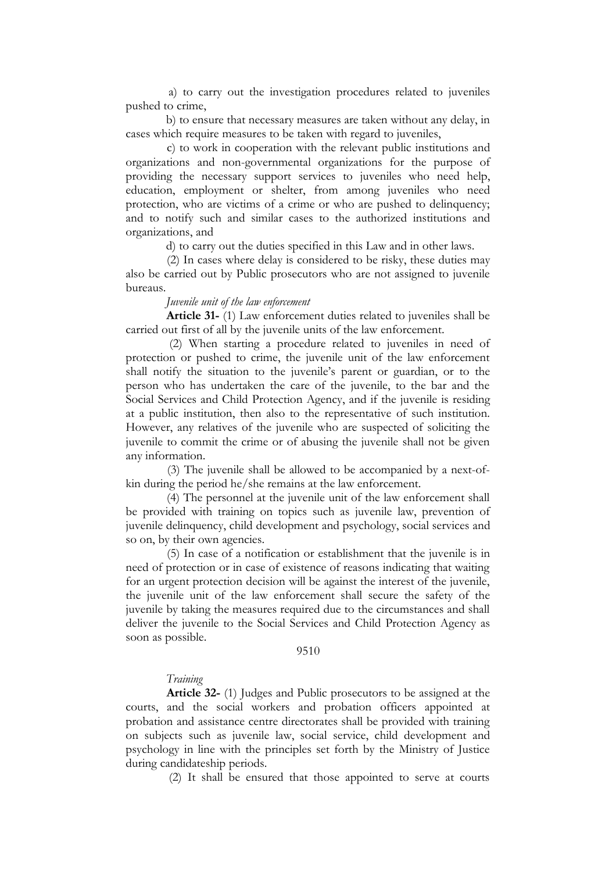a) to carry out the investigation procedures related to juveniles pushed to crime,

 b) to ensure that necessary measures are taken without any delay, in cases which require measures to be taken with regard to juveniles,

 c) to work in cooperation with the relevant public institutions and organizations and non-governmental organizations for the purpose of providing the necessary support services to juveniles who need help, education, employment or shelter, from among juveniles who need protection, who are victims of a crime or who are pushed to delinquency; and to notify such and similar cases to the authorized institutions and organizations, and

d) to carry out the duties specified in this Law and in other laws.

 (2) In cases where delay is considered to be risky, these duties may also be carried out by Public prosecutors who are not assigned to juvenile bureaus.

### *Juvenile unit of the law enforcement*

 **Article 31-** (1) Law enforcement duties related to juveniles shall be carried out first of all by the juvenile units of the law enforcement.

 (2) When starting a procedure related to juveniles in need of protection or pushed to crime, the juvenile unit of the law enforcement shall notify the situation to the juvenile's parent or guardian, or to the person who has undertaken the care of the juvenile, to the bar and the Social Services and Child Protection Agency, and if the juvenile is residing at a public institution, then also to the representative of such institution. However, any relatives of the juvenile who are suspected of soliciting the juvenile to commit the crime or of abusing the juvenile shall not be given any information.

 (3) The juvenile shall be allowed to be accompanied by a next-ofkin during the period he/she remains at the law enforcement.

 (4) The personnel at the juvenile unit of the law enforcement shall be provided with training on topics such as juvenile law, prevention of juvenile delinquency, child development and psychology, social services and so on, by their own agencies.

 (5) In case of a notification or establishment that the juvenile is in need of protection or in case of existence of reasons indicating that waiting for an urgent protection decision will be against the interest of the juvenile, the juvenile unit of the law enforcement shall secure the safety of the juvenile by taking the measures required due to the circumstances and shall deliver the juvenile to the Social Services and Child Protection Agency as soon as possible.

### 9510

#### *Training*

 **Article 32-** (1) Judges and Public prosecutors to be assigned at the courts, and the social workers and probation officers appointed at probation and assistance centre directorates shall be provided with training on subjects such as juvenile law, social service, child development and psychology in line with the principles set forth by the Ministry of Justice during candidateship periods.

(2) It shall be ensured that those appointed to serve at courts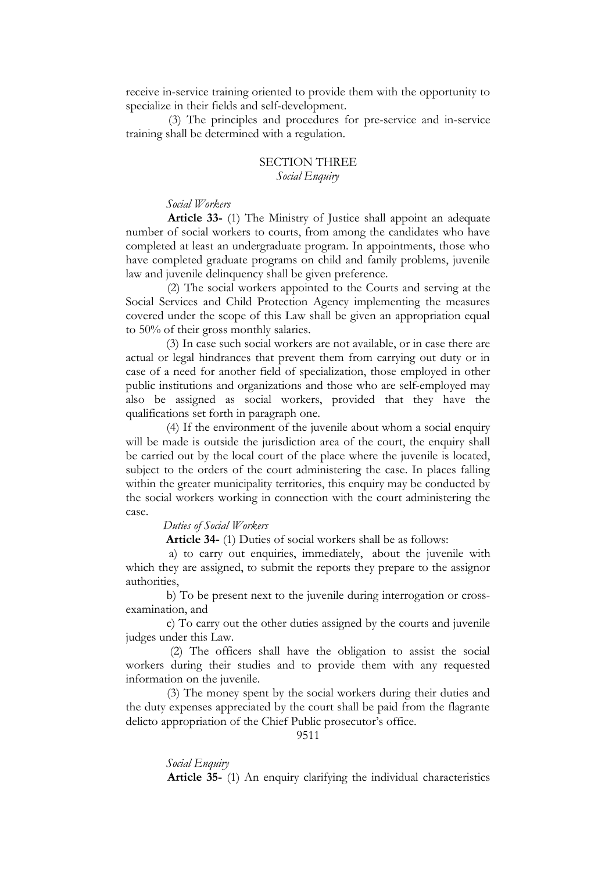receive in-service training oriented to provide them with the opportunity to specialize in their fields and self-development.

 (3) The principles and procedures for pre-service and in-service training shall be determined with a regulation.

### SECTION THREE *Social Enquiry*

#### *Social Workers*

 **Article 33-** (1) The Ministry of Justice shall appoint an adequate number of social workers to courts, from among the candidates who have completed at least an undergraduate program. In appointments, those who have completed graduate programs on child and family problems, juvenile law and juvenile delinquency shall be given preference.

 (2) The social workers appointed to the Courts and serving at the Social Services and Child Protection Agency implementing the measures covered under the scope of this Law shall be given an appropriation equal to 50% of their gross monthly salaries.

 (3) In case such social workers are not available, or in case there are actual or legal hindrances that prevent them from carrying out duty or in case of a need for another field of specialization, those employed in other public institutions and organizations and those who are self-employed may also be assigned as social workers, provided that they have the qualifications set forth in paragraph one.

 (4) If the environment of the juvenile about whom a social enquiry will be made is outside the jurisdiction area of the court, the enquiry shall be carried out by the local court of the place where the juvenile is located, subject to the orders of the court administering the case. In places falling within the greater municipality territories, this enquiry may be conducted by the social workers working in connection with the court administering the case.

### *Duties of Social Workers*

 **Article 34-** (1) Duties of social workers shall be as follows:

 a) to carry out enquiries, immediately, about the juvenile with which they are assigned, to submit the reports they prepare to the assignor authorities,

 b) To be present next to the juvenile during interrogation or crossexamination, and

 c) To carry out the other duties assigned by the courts and juvenile judges under this Law.

 (2) The officers shall have the obligation to assist the social workers during their studies and to provide them with any requested information on the juvenile.

 (3) The money spent by the social workers during their duties and the duty expenses appreciated by the court shall be paid from the flagrante delicto appropriation of the Chief Public prosecutor's office.

#### 9511

 *Social Enquiry*   **Article 35-** (1) An enquiry clarifying the individual characteristics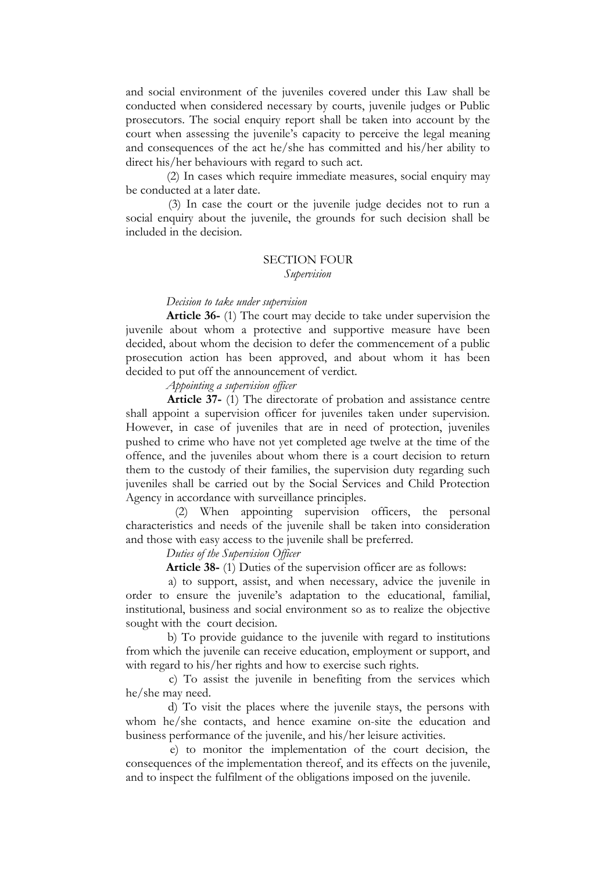and social environment of the juveniles covered under this Law shall be conducted when considered necessary by courts, juvenile judges or Public prosecutors. The social enquiry report shall be taken into account by the court when assessing the juvenile's capacity to perceive the legal meaning and consequences of the act he/she has committed and his/her ability to direct his/her behaviours with regard to such act.

 (2) In cases which require immediate measures, social enquiry may be conducted at a later date.

 (3) In case the court or the juvenile judge decides not to run a social enquiry about the juvenile, the grounds for such decision shall be included in the decision.

### SECTION FOUR *Supervision*

# *Decision to take under supervision*

 **Article 36-** (1) The court may decide to take under supervision the juvenile about whom a protective and supportive measure have been decided, about whom the decision to defer the commencement of a public prosecution action has been approved, and about whom it has been decided to put off the announcement of verdict.

 *Appointing a supervision officer*

 **Article 37-** (1) The directorate of probation and assistance centre shall appoint a supervision officer for juveniles taken under supervision. However, in case of juveniles that are in need of protection, juveniles pushed to crime who have not yet completed age twelve at the time of the offence, and the juveniles about whom there is a court decision to return them to the custody of their families, the supervision duty regarding such juveniles shall be carried out by the Social Services and Child Protection Agency in accordance with surveillance principles.

 (2) When appointing supervision officers, the personal characteristics and needs of the juvenile shall be taken into consideration and those with easy access to the juvenile shall be preferred.

 *Duties of the Supervision Officer* 

 **Article 38-** (1) Duties of the supervision officer are as follows:

 a) to support, assist, and when necessary, advice the juvenile in order to ensure the juvenile's adaptation to the educational, familial, institutional, business and social environment so as to realize the objective sought with the court decision.

 b) To provide guidance to the juvenile with regard to institutions from which the juvenile can receive education, employment or support, and with regard to his/her rights and how to exercise such rights.

 c) To assist the juvenile in benefiting from the services which he/she may need.

 d) To visit the places where the juvenile stays, the persons with whom he/she contacts, and hence examine on-site the education and business performance of the juvenile, and his/her leisure activities.

 e) to monitor the implementation of the court decision, the consequences of the implementation thereof, and its effects on the juvenile, and to inspect the fulfilment of the obligations imposed on the juvenile.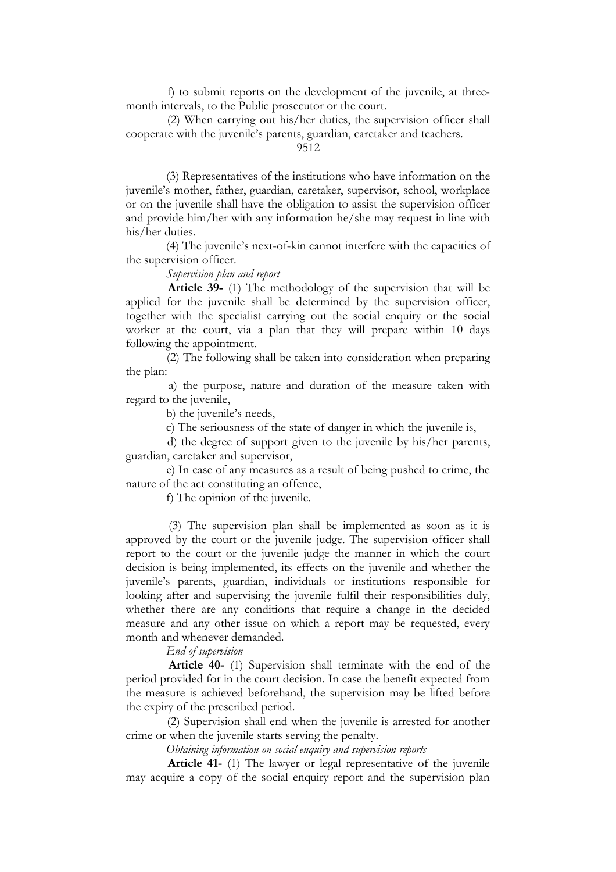f) to submit reports on the development of the juvenile, at threemonth intervals, to the Public prosecutor or the court.

 (2) When carrying out his/her duties, the supervision officer shall cooperate with the juvenile's parents, guardian, caretaker and teachers.

9512

 (3) Representatives of the institutions who have information on the juvenile's mother, father, guardian, caretaker, supervisor, school, workplace or on the juvenile shall have the obligation to assist the supervision officer and provide him/her with any information he/she may request in line with his/her duties.

 (4) The juvenile's next-of-kin cannot interfere with the capacities of the supervision officer.

 *Supervision plan and report*

 **Article 39-** (1) The methodology of the supervision that will be applied for the juvenile shall be determined by the supervision officer, together with the specialist carrying out the social enquiry or the social worker at the court, via a plan that they will prepare within 10 days following the appointment.

 (2) The following shall be taken into consideration when preparing the plan:

 a) the purpose, nature and duration of the measure taken with regard to the juvenile,

b) the juvenile's needs,

c) The seriousness of the state of danger in which the juvenile is,

 d) the degree of support given to the juvenile by his/her parents, guardian, caretaker and supervisor,

 e) In case of any measures as a result of being pushed to crime, the nature of the act constituting an offence,

f) The opinion of the juvenile.

 (3) The supervision plan shall be implemented as soon as it is approved by the court or the juvenile judge. The supervision officer shall report to the court or the juvenile judge the manner in which the court decision is being implemented, its effects on the juvenile and whether the juvenile's parents, guardian, individuals or institutions responsible for looking after and supervising the juvenile fulfil their responsibilities duly, whether there are any conditions that require a change in the decided measure and any other issue on which a report may be requested, every month and whenever demanded.

 *End of supervision* 

 **Article 40-** (1) Supervision shall terminate with the end of the period provided for in the court decision. In case the benefit expected from the measure is achieved beforehand, the supervision may be lifted before the expiry of the prescribed period.

 (2) Supervision shall end when the juvenile is arrested for another crime or when the juvenile starts serving the penalty.

 *Obtaining information on social enquiry and supervision reports*

 **Article 41-** (1) The lawyer or legal representative of the juvenile may acquire a copy of the social enquiry report and the supervision plan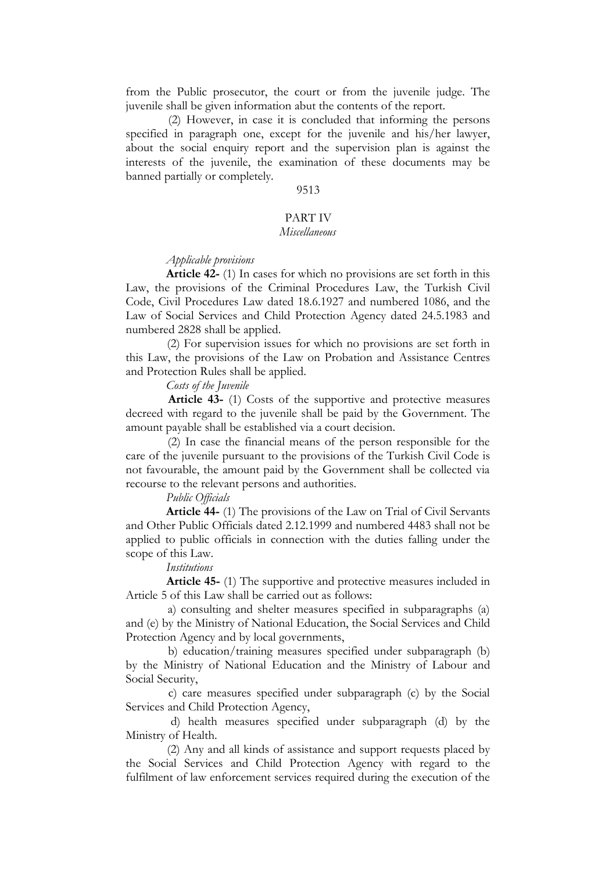from the Public prosecutor, the court or from the juvenile judge. The juvenile shall be given information abut the contents of the report.

 (2) However, in case it is concluded that informing the persons specified in paragraph one, except for the juvenile and his/her lawyer. about the social enquiry report and the supervision plan is against the interests of the juvenile, the examination of these documents may be banned partially or completely.

### 9513

### PART IV

### *Miscellaneous*

#### *Applicable provisions*

 **Article 42-** (1) In cases for which no provisions are set forth in this Law, the provisions of the Criminal Procedures Law, the Turkish Civil Code, Civil Procedures Law dated 18.6.1927 and numbered 1086, and the Law of Social Services and Child Protection Agency dated 24.5.1983 and numbered 2828 shall be applied.

 (2) For supervision issues for which no provisions are set forth in this Law, the provisions of the Law on Probation and Assistance Centres and Protection Rules shall be applied.

 *Costs of the Juvenile* 

 **Article 43-** (1) Costs of the supportive and protective measures decreed with regard to the juvenile shall be paid by the Government. The amount payable shall be established via a court decision.

 (2) In case the financial means of the person responsible for the care of the juvenile pursuant to the provisions of the Turkish Civil Code is not favourable, the amount paid by the Government shall be collected via recourse to the relevant persons and authorities.

#### *Public Officials*

 **Article 44-** (1) The provisions of the Law on Trial of Civil Servants and Other Public Officials dated 2.12.1999 and numbered 4483 shall not be applied to public officials in connection with the duties falling under the scope of this Law.

#### *Institutions*

 **Article 45-** (1) The supportive and protective measures included in Article 5 of this Law shall be carried out as follows:

 a) consulting and shelter measures specified in subparagraphs (a) and (e) by the Ministry of National Education, the Social Services and Child Protection Agency and by local governments,

 b) education/training measures specified under subparagraph (b) by the Ministry of National Education and the Ministry of Labour and Social Security,

 c) care measures specified under subparagraph (c) by the Social Services and Child Protection Agency,

 d) health measures specified under subparagraph (d) by the Ministry of Health.

 (2) Any and all kinds of assistance and support requests placed by the Social Services and Child Protection Agency with regard to the fulfilment of law enforcement services required during the execution of the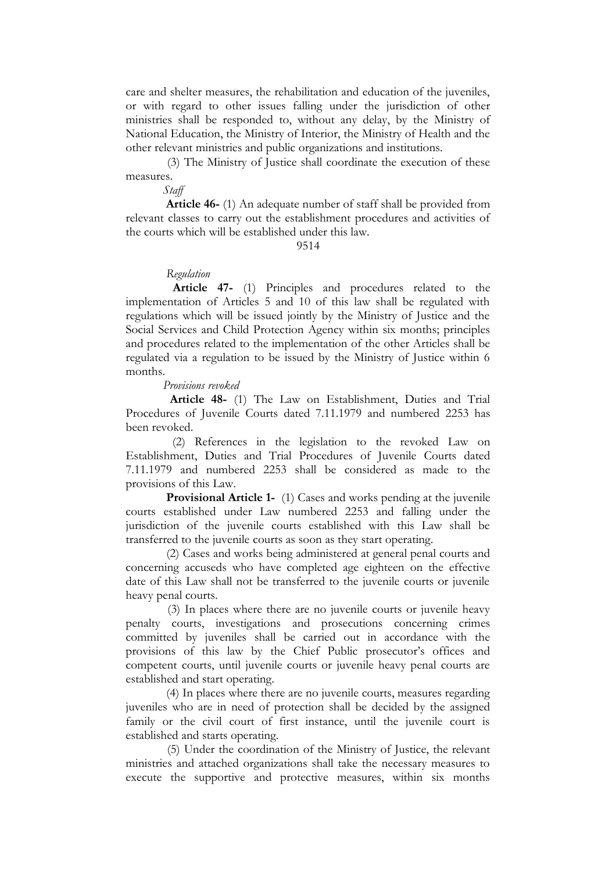care and shelter measures, the rehabilitation and education of the juveniles, or with regard to other issues falling under the jurisdiction of other ministries shall be responded to, without any delay, by the Ministry of National Education, the Ministry of Interior, the Ministry of Health and the other relevant ministries and public organizations and institutions.

 (3) The Ministry of Justice shall coordinate the execution of these measures.

*Staff* 

 **Article 46-** (1) An adequate number of staff shall be provided from relevant classes to carry out the establishment procedures and activities of the courts which will be established under this law.

9514

### *Regulation*

 **Article 47-** (1) Principles and procedures related to the implementation of Articles 5 and 10 of this law shall be regulated with regulations which will be issued jointly by the Ministry of Justice and the Social Services and Child Protection Agency within six months; principles and procedures related to the implementation of the other Articles shall be regulated via a regulation to be issued by the Ministry of Justice within 6 months.

### *Provisions revoked*

 **Article 48-** (1) The Law on Establishment, Duties and Trial Procedures of Juvenile Courts dated 7.11.1979 and numbered 2253 has been revoked.

 (2) References in the legislation to the revoked Law on Establishment, Duties and Trial Procedures of Juvenile Courts dated 7.11.1979 and numbered 2253 shall be considered as made to the provisions of this Law.

**Provisional Article 1-** (1) Cases and works pending at the juvenile courts established under Law numbered 2253 and falling under the jurisdiction of the juvenile courts established with this Law shall be transferred to the juvenile courts as soon as they start operating.

 (2) Cases and works being administered at general penal courts and concerning accuseds who have completed age eighteen on the effective date of this Law shall not be transferred to the juvenile courts or juvenile heavy penal courts.

 (3) In places where there are no juvenile courts or juvenile heavy penalty courts, investigations and prosecutions concerning crimes committed by juveniles shall be carried out in accordance with the provisions of this law by the Chief Public prosecutor's offices and competent courts, until juvenile courts or juvenile heavy penal courts are established and start operating.

 (4) In places where there are no juvenile courts, measures regarding juveniles who are in need of protection shall be decided by the assigned family or the civil court of first instance, until the juvenile court is established and starts operating.

 (5) Under the coordination of the Ministry of Justice, the relevant ministries and attached organizations shall take the necessary measures to execute the supportive and protective measures, within six months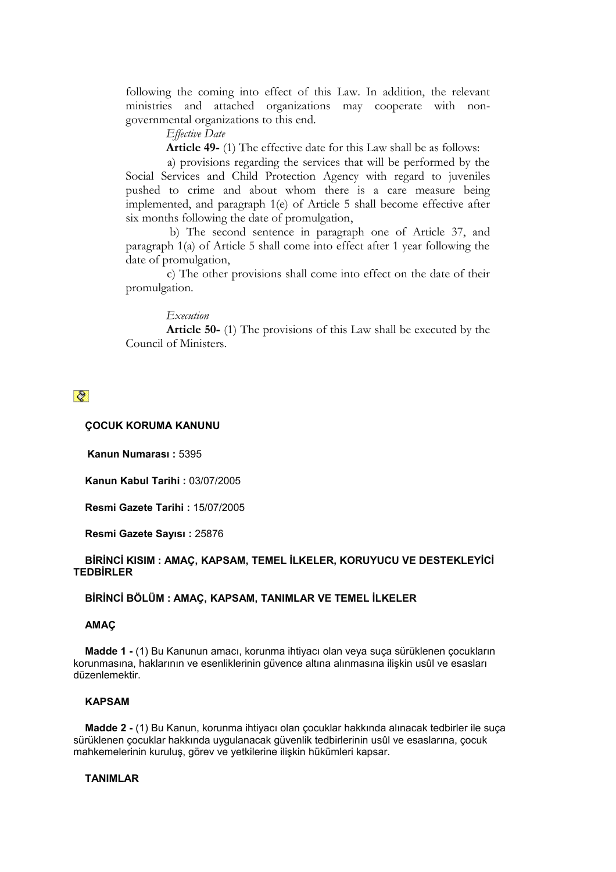following the coming into effect of this Law. In addition, the relevant ministries and attached organizations may cooperate with nongovernmental organizations to this end.

 *Effective Date*

 **Article 49-** (1) The effective date for this Law shall be as follows:

 a) provisions regarding the services that will be performed by the Social Services and Child Protection Agency with regard to juveniles pushed to crime and about whom there is a care measure being implemented, and paragraph 1(e) of Article 5 shall become effective after six months following the date of promulgation,

 b) The second sentence in paragraph one of Article 37, and paragraph 1(a) of Article 5 shall come into effect after 1 year following the date of promulgation,

 c) The other provisions shall come into effect on the date of their promulgation.

### *Execution*

 **Article 50-** (1) The provisions of this Law shall be executed by the Council of Ministers.

## $\mathcal{Q}$

### **ÇOCUK KORUMA KANUNU**

**Kanun Numarası :** 5395

**Kanun Kabul Tarihi :** 03/07/2005

**Resmi Gazete Tarihi :** 15/07/2005

**Resmi Gazete Sayısı :** 25876

### **BİRİNCİ KISIM : AMAÇ, KAPSAM, TEMEL İLKELER, KORUYUCU VE DESTEKLEYİCİ TEDBİRLER**

### **BİRİNCİ BÖLÜM : AMAÇ, KAPSAM, TANIMLAR VE TEMEL İLKELER**

#### **AMAÇ**

 **Madde 1 -** (1) Bu Kanunun amacı, korunma ihtiyacı olan veya suça sürüklenen çocukların korunmasına, haklarının ve esenliklerinin güvence altına alınmasına ilişkin usûl ve esasları düzenlemektir.

### **KAPSAM**

 **Madde 2 -** (1) Bu Kanun, korunma ihtiyacı olan çocuklar hakkında alınacak tedbirler ile suça sürüklenen çocuklar hakkında uygulanacak güvenlik tedbirlerinin usûl ve esaslarına, çocuk mahkemelerinin kuruluş, görev ve yetkilerine ilişkin hükümleri kapsar.

### **TANIMLAR**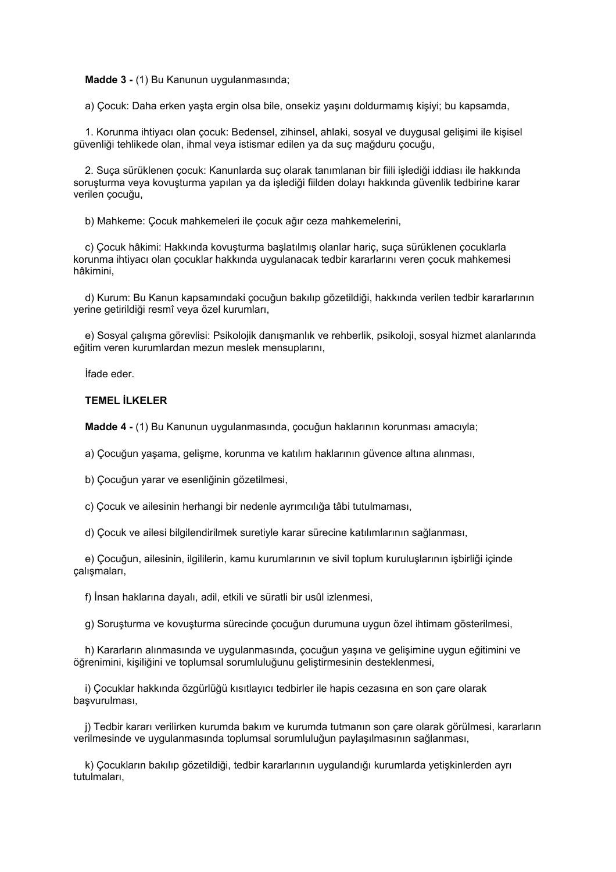**Madde 3 -** (1) Bu Kanunun uygulanmasında;

a) Çocuk: Daha erken yaşta ergin olsa bile, onsekiz yaşını doldurmamış kişiyi; bu kapsamda,

 1. Korunma ihtiyacı olan çocuk: Bedensel, zihinsel, ahlaki, sosyal ve duygusal gelişimi ile kişisel güvenliği tehlikede olan, ihmal veya istismar edilen ya da suç mağduru çocuğu,

 2. Suça sürüklenen çocuk: Kanunlarda suç olarak tanımlanan bir fiili işlediği iddiası ile hakkında soruşturma veya kovuşturma yapılan ya da işlediği fiilden dolayı hakkında güvenlik tedbirine karar verilen çocuğu,

b) Mahkeme: Çocuk mahkemeleri ile çocuk ağır ceza mahkemelerini,

 c) Çocuk hâkimi: Hakkında kovuşturma başlatılmış olanlar hariç, suça sürüklenen çocuklarla korunma ihtiyacı olan çocuklar hakkında uygulanacak tedbir kararlarını veren çocuk mahkemesi hâkimini,

 d) Kurum: Bu Kanun kapsamındaki çocuğun bakılıp gözetildiği, hakkında verilen tedbir kararlarının yerine getirildiği resmî veya özel kurumları,

 e) Sosyal çalışma görevlisi: Psikolojik danışmanlık ve rehberlik, psikoloji, sosyal hizmet alanlarında eğitim veren kurumlardan mezun meslek mensuplarını,

İfade eder.

### **TEMEL İLKELER**

 **Madde 4 -** (1) Bu Kanunun uygulanmasında, çocuğun haklarının korunması amacıyla;

a) Çocuğun yaşama, gelişme, korunma ve katılım haklarının güvence altına alınması,

b) Çocuğun yarar ve esenliğinin gözetilmesi,

c) Çocuk ve ailesinin herhangi bir nedenle ayrımcılığa tâbi tutulmaması,

d) Çocuk ve ailesi bilgilendirilmek suretiyle karar sürecine katılımlarının sağlanması,

 e) Çocuğun, ailesinin, ilgililerin, kamu kurumlarının ve sivil toplum kuruluşlarının işbirliği içinde çalışmaları,

f) İnsan haklarına dayalı, adil, etkili ve süratli bir usûl izlenmesi,

g) Soruşturma ve kovuşturma sürecinde çocuğun durumuna uygun özel ihtimam gösterilmesi,

 h) Kararların alınmasında ve uygulanmasında, çocuğun yaşına ve gelişimine uygun eğitimini ve öğrenimini, kişiliğini ve toplumsal sorumluluğunu geliştirmesinin desteklenmesi,

 i) Çocuklar hakkında özgürlüğü kısıtlayıcı tedbirler ile hapis cezasına en son çare olarak başvurulması,

 j) Tedbir kararı verilirken kurumda bakım ve kurumda tutmanın son çare olarak görülmesi, kararların verilmesinde ve uygulanmasında toplumsal sorumluluğun paylaşılmasının sağlanması,

 k) Çocukların bakılıp gözetildiği, tedbir kararlarının uygulandığı kurumlarda yetişkinlerden ayrı tutulmaları,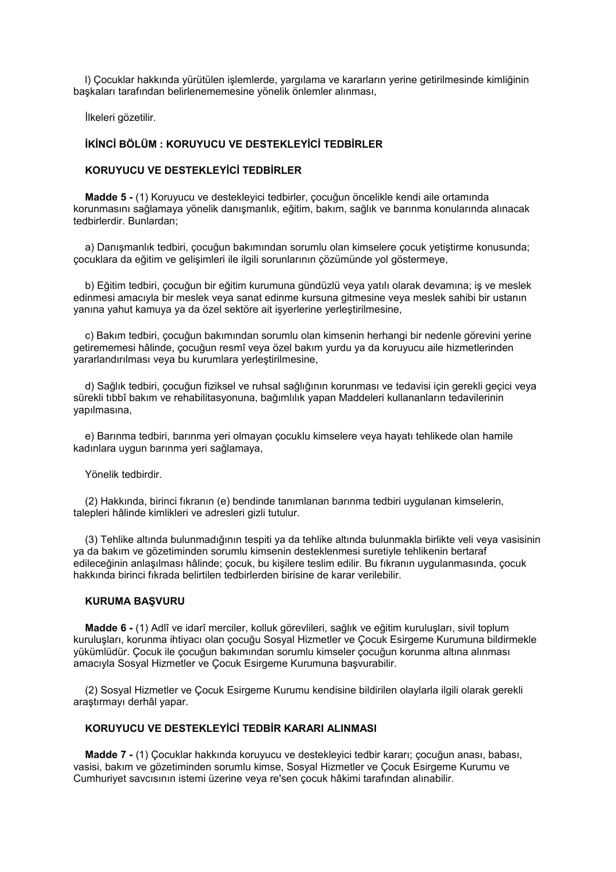l) Çocuklar hakkında yürütülen işlemlerde, yargılama ve kararların yerine getirilmesinde kimliğinin başkaları tarafından belirlenememesine yönelik önlemler alınması,

İlkeleri gözetilir.

### **İKİNCİ BÖLÜM : KORUYUCU VE DESTEKLEYİCİ TEDBİRLER**

### **KORUYUCU VE DESTEKLEYİCİ TEDBİRLER**

 **Madde 5 -** (1) Koruyucu ve destekleyici tedbirler, çocuğun öncelikle kendi aile ortamında korunmasını sağlamaya yönelik danışmanlık, eğitim, bakım, sağlık ve barınma konularında alınacak tedbirlerdir. Bunlardan;

 a) Danışmanlık tedbiri, çocuğun bakımından sorumlu olan kimselere çocuk yetiştirme konusunda; çocuklara da eğitim ve gelişimleri ile ilgili sorunlarının çözümünde yol göstermeye,

 b) Eğitim tedbiri, çocuğun bir eğitim kurumuna gündüzlü veya yatılı olarak devamına; iş ve meslek edinmesi amacıyla bir meslek veya sanat edinme kursuna gitmesine veya meslek sahibi bir ustanın yanına yahut kamuya ya da özel sektöre ait işyerlerine yerleştirilmesine,

 c) Bakım tedbiri, çocuğun bakımından sorumlu olan kimsenin herhangi bir nedenle görevini yerine getirememesi hâlinde, çocuğun resmî veya özel bakım yurdu ya da koruyucu aile hizmetlerinden yararlandırılması veya bu kurumlara yerleştirilmesine,

 d) Sağlık tedbiri, çocuğun fiziksel ve ruhsal sağlığının korunması ve tedavisi için gerekli geçici veya sürekli tıbbî bakım ve rehabilitasyonuna, bağımlılık yapan Maddeleri kullananların tedavilerinin yapılmasına,

 e) Barınma tedbiri, barınma yeri olmayan çocuklu kimselere veya hayatı tehlikede olan hamile kadınlara uygun barınma yeri sağlamaya,

Yönelik tedbirdir.

 (2) Hakkında, birinci fıkranın (e) bendinde tanımlanan barınma tedbiri uygulanan kimselerin, talepleri hâlinde kimlikleri ve adresleri gizli tutulur.

 (3) Tehlike altında bulunmadığının tespiti ya da tehlike altında bulunmakla birlikte veli veya vasisinin ya da bakım ve gözetiminden sorumlu kimsenin desteklenmesi suretiyle tehlikenin bertaraf edileceğinin anlaşılması hâlinde; çocuk, bu kişilere teslim edilir. Bu fıkranın uygulanmasında, çocuk hakkında birinci fıkrada belirtilen tedbirlerden birisine de karar verilebilir.

#### **KURUMA BAŞVURU**

 **Madde 6 -** (1) Adlî ve idarî merciler, kolluk görevlileri, sağlık ve eğitim kuruluşları, sivil toplum kuruluşları, korunma ihtiyacı olan çocuğu Sosyal Hizmetler ve Çocuk Esirgeme Kurumuna bildirmekle yükümlüdür. Çocuk ile çocuğun bakımından sorumlu kimseler çocuğun korunma altına alınması amacıyla Sosyal Hizmetler ve Çocuk Esirgeme Kurumuna başvurabilir.

 (2) Sosyal Hizmetler ve Çocuk Esirgeme Kurumu kendisine bildirilen olaylarla ilgili olarak gerekli araştırmayı derhâl yapar.

### **KORUYUCU VE DESTEKLEYİCİ TEDBİR KARARI ALINMASI**

 **Madde 7 -** (1) Çocuklar hakkında koruyucu ve destekleyici tedbir kararı; çocuğun anası, babası, vasisi, bakım ve gözetiminden sorumlu kimse, Sosyal Hizmetler ve Çocuk Esirgeme Kurumu ve Cumhuriyet savcısının istemi üzerine veya re'sen çocuk hâkimi tarafından alınabilir.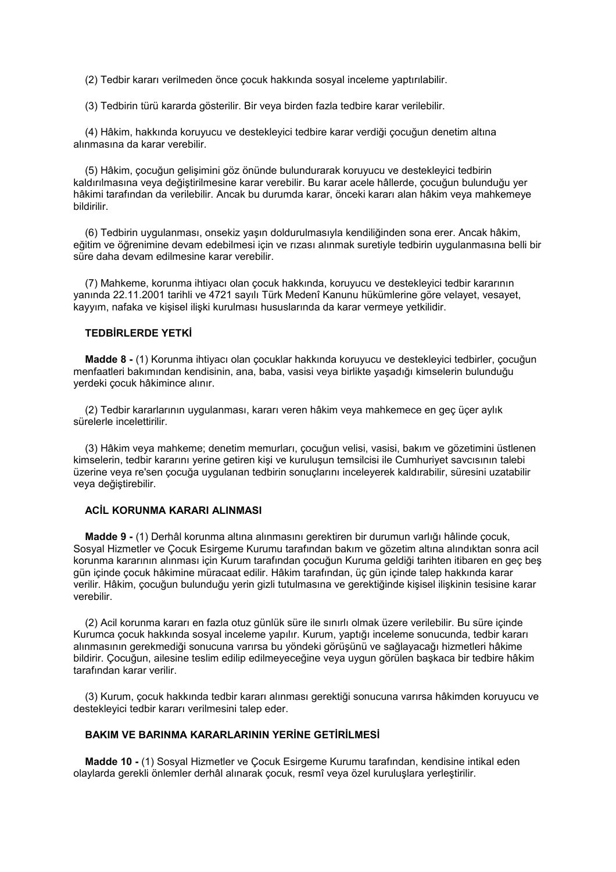(2) Tedbir kararı verilmeden önce çocuk hakkında sosyal inceleme yaptırılabilir.

(3) Tedbirin türü kararda gösterilir. Bir veya birden fazla tedbire karar verilebilir.

 (4) Hâkim, hakkında koruyucu ve destekleyici tedbire karar verdiği çocuğun denetim altına alınmasına da karar verebilir.

 (5) Hâkim, çocuğun gelişimini göz önünde bulundurarak koruyucu ve destekleyici tedbirin kaldırılmasına veya değiştirilmesine karar verebilir. Bu karar acele hâllerde, çocuğun bulunduğu yer hâkimi tarafından da verilebilir. Ancak bu durumda karar, önceki kararı alan hâkim veya mahkemeye bildirilir.

 (6) Tedbirin uygulanması, onsekiz yaşın doldurulmasıyla kendiliğinden sona erer. Ancak hâkim, eğitim ve öğrenimine devam edebilmesi için ve rızası alınmak suretiyle tedbirin uygulanmasına belli bir süre daha devam edilmesine karar verebilir.

 (7) Mahkeme, korunma ihtiyacı olan çocuk hakkında, koruyucu ve destekleyici tedbir kararının yanında 22.11.2001 tarihli ve 4721 sayılı Türk Medenî Kanunu hükümlerine göre velayet, vesayet, kayyım, nafaka ve kişisel ilişki kurulması hususlarında da karar vermeye yetkilidir.

### **TEDBİRLERDE YETKİ**

 **Madde 8 -** (1) Korunma ihtiyacı olan çocuklar hakkında koruyucu ve destekleyici tedbirler, çocuğun menfaatleri bakımından kendisinin, ana, baba, vasisi veya birlikte yaşadığı kimselerin bulunduğu yerdeki çocuk hâkimince alınır.

 (2) Tedbir kararlarının uygulanması, kararı veren hâkim veya mahkemece en geç üçer aylık sürelerle incelettirilir.

 (3) Hâkim veya mahkeme; denetim memurları, çocuğun velisi, vasisi, bakım ve gözetimini üstlenen kimselerin, tedbir kararını yerine getiren kişi ve kuruluşun temsilcisi ile Cumhuriyet savcısının talebi üzerine veya re'sen çocuğa uygulanan tedbirin sonuçlarını inceleyerek kaldırabilir, süresini uzatabilir veya değiştirebilir.

### **ACİL KORUNMA KARARI ALINMASI**

 **Madde 9 -** (1) Derhâl korunma altına alınmasını gerektiren bir durumun varlığı hâlinde çocuk, Sosyal Hizmetler ve Çocuk Esirgeme Kurumu tarafından bakım ve gözetim altına alındıktan sonra acil korunma kararının alınması için Kurum tarafından çocuğun Kuruma geldiği tarihten itibaren en geç beş gün içinde çocuk hâkimine müracaat edilir. Hâkim tarafından, üç gün içinde talep hakkında karar verilir. Hâkim, çocuğun bulunduğu yerin gizli tutulmasına ve gerektiğinde kişisel ilişkinin tesisine karar verebilir.

 (2) Acil korunma kararı en fazla otuz günlük süre ile sınırlı olmak üzere verilebilir. Bu süre içinde Kurumca çocuk hakkında sosyal inceleme yapılır. Kurum, yaptığı inceleme sonucunda, tedbir kararı alınmasının gerekmediği sonucuna varırsa bu yöndeki görüşünü ve sağlayacağı hizmetleri hâkime bildirir. Çocuğun, ailesine teslim edilip edilmeyeceğine veya uygun görülen başkaca bir tedbire hâkim tarafından karar verilir.

 (3) Kurum, çocuk hakkında tedbir kararı alınması gerektiği sonucuna varırsa hâkimden koruyucu ve destekleyici tedbir kararı verilmesini talep eder.

### **BAKIM VE BARINMA KARARLARININ YERİNE GETİRİLMESİ**

 **Madde 10 -** (1) Sosyal Hizmetler ve Çocuk Esirgeme Kurumu tarafından, kendisine intikal eden olaylarda gerekli önlemler derhâl alınarak çocuk, resmî veya özel kuruluşlara yerleştirilir.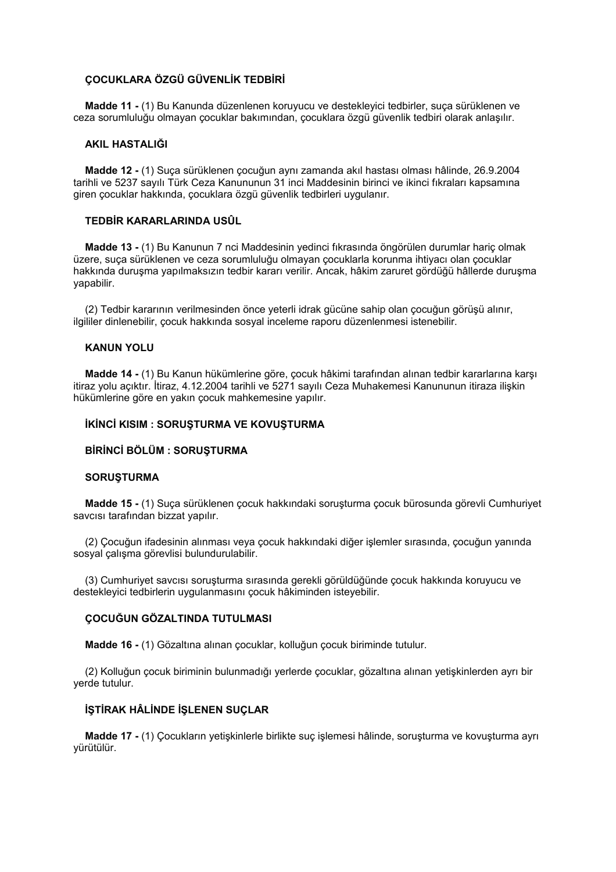### **ÇOCUKLARA ÖZGÜ GÜVENLİK TEDBİRİ**

 **Madde 11 -** (1) Bu Kanunda düzenlenen koruyucu ve destekleyici tedbirler, suça sürüklenen ve ceza sorumluluğu olmayan çocuklar bakımından, çocuklara özgü güvenlik tedbiri olarak anlaşılır.

#### **AKIL HASTALIĞI**

 **Madde 12 -** (1) Suça sürüklenen çocuğun aynı zamanda akıl hastası olması hâlinde, 26.9.2004 tarihli ve 5237 sayılı Türk Ceza Kanununun 31 inci Maddesinin birinci ve ikinci fıkraları kapsamına giren çocuklar hakkında, çocuklara özgü güvenlik tedbirleri uygulanır.

### **TEDBİR KARARLARINDA USÛL**

 **Madde 13 -** (1) Bu Kanunun 7 nci Maddesinin yedinci fıkrasında öngörülen durumlar hariç olmak üzere, suça sürüklenen ve ceza sorumluluğu olmayan çocuklarla korunma ihtiyacı olan çocuklar hakkında duruşma yapılmaksızın tedbir kararı verilir. Ancak, hâkim zaruret gördüğü hâllerde duruşma yapabilir.

 (2) Tedbir kararının verilmesinden önce yeterli idrak gücüne sahip olan çocuğun görüşü alınır, ilgililer dinlenebilir, çocuk hakkında sosyal inceleme raporu düzenlenmesi istenebilir.

### **KANUN YOLU**

 **Madde 14 -** (1) Bu Kanun hükümlerine göre, çocuk hâkimi tarafından alınan tedbir kararlarına karşı itiraz yolu açıktır. İtiraz, 4.12.2004 tarihli ve 5271 sayılı Ceza Muhakemesi Kanununun itiraza ilişkin hükümlerine göre en yakın çocuk mahkemesine yapılır.

#### **İKİNCİ KISIM : SORUŞTURMA VE KOVUŞTURMA**

#### **BİRİNCİ BÖLÜM : SORUŞTURMA**

#### **SORUŞTURMA**

 **Madde 15 -** (1) Suça sürüklenen çocuk hakkındaki soruşturma çocuk bürosunda görevli Cumhuriyet savcısı tarafından bizzat yapılır.

 (2) Çocuğun ifadesinin alınması veya çocuk hakkındaki diğer işlemler sırasında, çocuğun yanında sosyal çalışma görevlisi bulundurulabilir.

 (3) Cumhuriyet savcısı soruşturma sırasında gerekli görüldüğünde çocuk hakkında koruyucu ve destekleyici tedbirlerin uygulanmasını çocuk hâkiminden isteyebilir.

#### **ÇOCUĞUN GÖZALTINDA TUTULMASI**

 **Madde 16 -** (1) Gözaltına alınan çocuklar, kolluğun çocuk biriminde tutulur.

 (2) Kolluğun çocuk biriminin bulunmadığı yerlerde çocuklar, gözaltına alınan yetişkinlerden ayrı bir yerde tutulur.

### **İŞTİRAK HÂLİNDE İŞLENEN SUÇLAR**

 **Madde 17 -** (1) Çocukların yetişkinlerle birlikte suç işlemesi hâlinde, soruşturma ve kovuşturma ayrı yürütülür.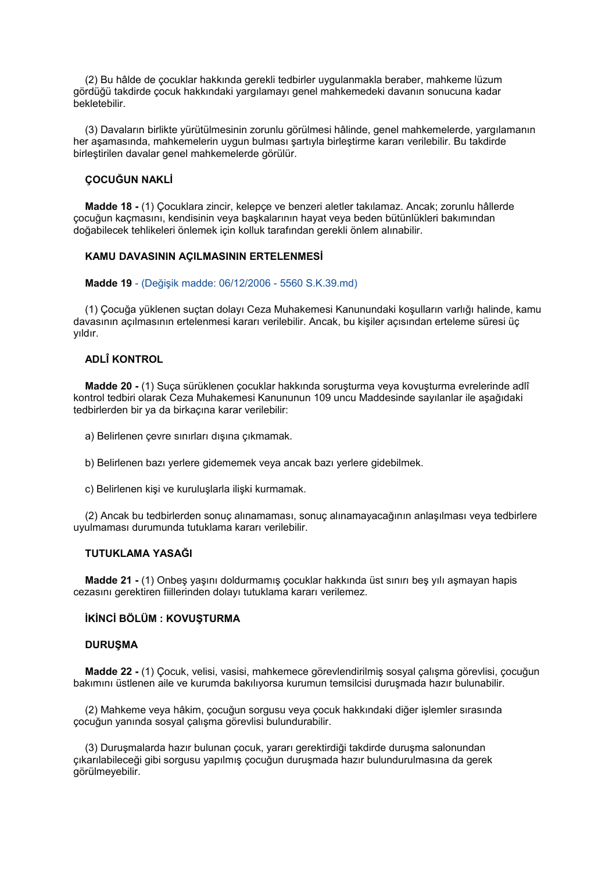(2) Bu hâlde de çocuklar hakkında gerekli tedbirler uygulanmakla beraber, mahkeme lüzum gördüğü takdirde çocuk hakkındaki yargılamayı genel mahkemedeki davanın sonucuna kadar bekletebilir.

 (3) Davaların birlikte yürütülmesinin zorunlu görülmesi hâlinde, genel mahkemelerde, yargılamanın her aşamasında, mahkemelerin uygun bulması şartıyla birleştirme kararı verilebilir. Bu takdirde birleştirilen davalar genel mahkemelerde görülür.

### **ÇOCUĞUN NAKLİ**

 **Madde 18 -** (1) Çocuklara zincir, kelepçe ve benzeri aletler takılamaz. Ancak; zorunlu hâllerde çocuğun kaçmasını, kendisinin veya başkalarının hayat veya beden bütünlükleri bakımından doğabilecek tehlikeleri önlemek için kolluk tarafından gerekli önlem alınabilir.

### **KAMU DAVASININ AÇILMASININ ERTELENMESİ**

#### **Madde 19** - (Değişik madde: 06/12/2006 - 5560 S.K.39.md)

(1) Çocuğa yüklenen suçtan dolayı Ceza Muhakemesi Kanunundaki koşulların varlığı halinde, kamu davasının açılmasının ertelenmesi kararı verilebilir. Ancak, bu kişiler açısından erteleme süresi üç yıldır.

### **ADLÎ KONTROL**

 **Madde 20 -** (1) Suça sürüklenen çocuklar hakkında soruşturma veya kovuşturma evrelerinde adlî kontrol tedbiri olarak Ceza Muhakemesi Kanununun 109 uncu Maddesinde sayılanlar ile aşağıdaki tedbirlerden bir ya da birkaçına karar verilebilir:

- a) Belirlenen çevre sınırları dışına çıkmamak.
- b) Belirlenen bazı yerlere gidememek veya ancak bazı yerlere gidebilmek.
- c) Belirlenen kişi ve kuruluşlarla ilişki kurmamak.

 (2) Ancak bu tedbirlerden sonuç alınamaması, sonuç alınamayacağının anlaşılması veya tedbirlere uyulmaması durumunda tutuklama kararı verilebilir.

### **TUTUKLAMA YASAĞI**

 **Madde 21 -** (1) Onbeş yaşını doldurmamış çocuklar hakkında üst sınırı beş yılı aşmayan hapis cezasını gerektiren fiillerinden dolayı tutuklama kararı verilemez.

### **İKİNCİ BÖLÜM : KOVUŞTURMA**

#### **DURUŞMA**

 **Madde 22 -** (1) Çocuk, velisi, vasisi, mahkemece görevlendirilmiş sosyal çalışma görevlisi, çocuğun bakımını üstlenen aile ve kurumda bakılıyorsa kurumun temsilcisi duruşmada hazır bulunabilir.

 (2) Mahkeme veya hâkim, çocuğun sorgusu veya çocuk hakkındaki diğer işlemler sırasında çocuğun yanında sosyal çalışma görevlisi bulundurabilir.

 (3) Duruşmalarda hazır bulunan çocuk, yararı gerektirdiği takdirde duruşma salonundan çıkarılabileceği gibi sorgusu yapılmış çocuğun duruşmada hazır bulundurulmasına da gerek görülmeyebilir.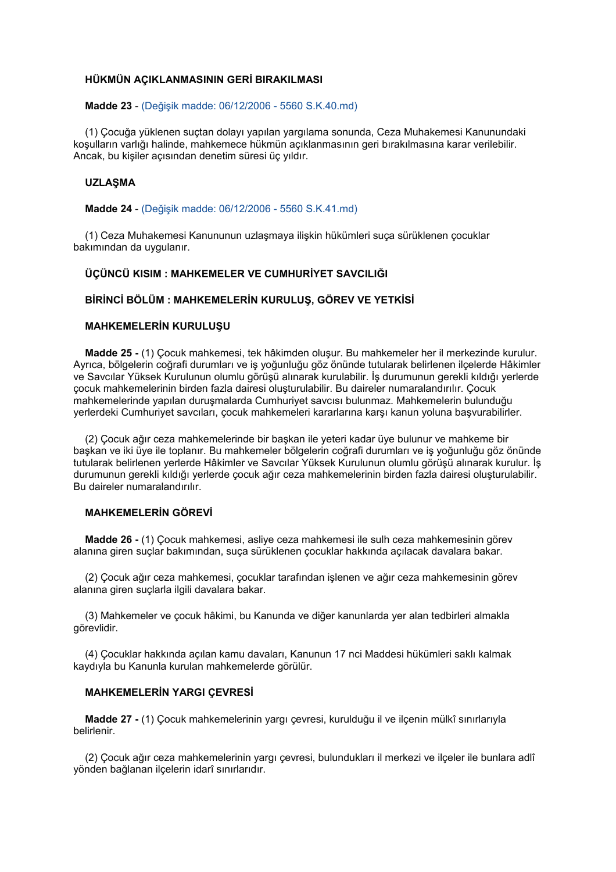### **HÜKMÜN AÇIKLANMASININ GERİ BIRAKILMASI**

#### **Madde 23** - (Değişik madde: 06/12/2006 - 5560 S.K.40.md)

(1) Çocuğa yüklenen suçtan dolayı yapılan yargılama sonunda, Ceza Muhakemesi Kanunundaki koşulların varlığı halinde, mahkemece hükmün açıklanmasının geri bırakılmasına karar verilebilir. Ancak, bu kişiler açısından denetim süresi üç yıldır.

#### **UZLAŞMA**

 **Madde 24** - (Değişik madde: 06/12/2006 - 5560 S.K.41.md)

(1) Ceza Muhakemesi Kanununun uzlaşmaya ilişkin hükümleri suça sürüklenen çocuklar bakımından da uygulanır.

### **ÜÇÜNCÜ KISIM : MAHKEMELER VE CUMHURİYET SAVCILIĞI**

#### **BİRİNCİ BÖLÜM : MAHKEMELERİN KURULUŞ, GÖREV VE YETKİSİ**

### **MAHKEMELERİN KURULUŞU**

 **Madde 25 -** (1) Çocuk mahkemesi, tek hâkimden oluşur. Bu mahkemeler her il merkezinde kurulur. Ayrıca, bölgelerin coğrafi durumları ve iş yoğunluğu göz önünde tutularak belirlenen ilçelerde Hâkimler ve Savcılar Yüksek Kurulunun olumlu görüşü alınarak kurulabilir. İş durumunun gerekli kıldığı yerlerde çocuk mahkemelerinin birden fazla dairesi oluşturulabilir. Bu daireler numaralandırılır. Çocuk mahkemelerinde yapılan duruşmalarda Cumhuriyet savcısı bulunmaz. Mahkemelerin bulunduğu yerlerdeki Cumhuriyet savcıları, çocuk mahkemeleri kararlarına karşı kanun yoluna başvurabilirler.

 (2) Çocuk ağır ceza mahkemelerinde bir başkan ile yeteri kadar üye bulunur ve mahkeme bir başkan ve iki üye ile toplanır. Bu mahkemeler bölgelerin coğrafi durumları ve iş yoğunluğu göz önünde tutularak belirlenen yerlerde Hâkimler ve Savcılar Yüksek Kurulunun olumlu görüşü alınarak kurulur. İş durumunun gerekli kıldığı yerlerde çocuk ağır ceza mahkemelerinin birden fazla dairesi oluşturulabilir. Bu daireler numaralandırılır.

### **MAHKEMELERİN GÖREVİ**

 **Madde 26 -** (1) Çocuk mahkemesi, asliye ceza mahkemesi ile sulh ceza mahkemesinin görev alanına giren suçlar bakımından, suça sürüklenen çocuklar hakkında açılacak davalara bakar.

 (2) Çocuk ağır ceza mahkemesi, çocuklar tarafından işlenen ve ağır ceza mahkemesinin görev alanına giren suçlarla ilgili davalara bakar.

 (3) Mahkemeler ve çocuk hâkimi, bu Kanunda ve diğer kanunlarda yer alan tedbirleri almakla görevlidir.

 (4) Çocuklar hakkında açılan kamu davaları, Kanunun 17 nci Maddesi hükümleri saklı kalmak kaydıyla bu Kanunla kurulan mahkemelerde görülür.

### **MAHKEMELERİN YARGI ÇEVRESİ**

 **Madde 27 -** (1) Çocuk mahkemelerinin yargı çevresi, kurulduğu il ve ilçenin mülkî sınırlarıyla belirlenir.

 (2) Çocuk ağır ceza mahkemelerinin yargı çevresi, bulundukları il merkezi ve ilçeler ile bunlara adlî yönden bağlanan ilçelerin idarî sınırlarıdır.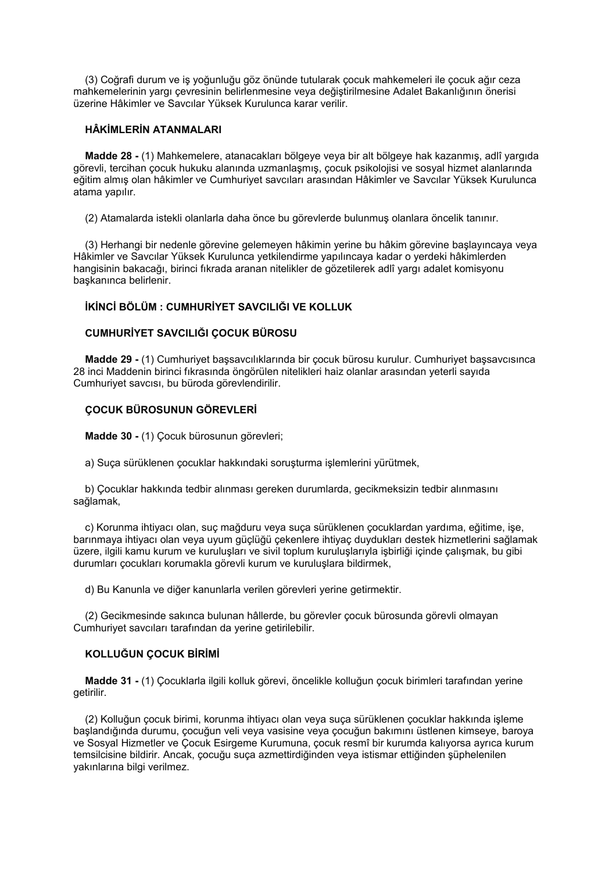(3) Coğrafi durum ve iş yoğunluğu göz önünde tutularak çocuk mahkemeleri ile çocuk ağır ceza mahkemelerinin yargı çevresinin belirlenmesine veya değiştirilmesine Adalet Bakanlığının önerisi üzerine Hâkimler ve Savcılar Yüksek Kurulunca karar verilir.

### **HÂKİMLERİN ATANMALARI**

 **Madde 28 -** (1) Mahkemelere, atanacakları bölgeye veya bir alt bölgeye hak kazanmış, adlî yargıda görevli, tercihan çocuk hukuku alanında uzmanlaşmış, çocuk psikolojisi ve sosyal hizmet alanlarında eğitim almış olan hâkimler ve Cumhuriyet savcıları arasından Hâkimler ve Savcılar Yüksek Kurulunca atama yapılır.

(2) Atamalarda istekli olanlarla daha önce bu görevlerde bulunmuş olanlara öncelik tanınır.

 (3) Herhangi bir nedenle görevine gelemeyen hâkimin yerine bu hâkim görevine başlayıncaya veya Hâkimler ve Savcılar Yüksek Kurulunca yetkilendirme yapılıncaya kadar o yerdeki hâkimlerden hangisinin bakacağı, birinci fıkrada aranan nitelikler de gözetilerek adlî yargı adalet komisyonu başkanınca belirlenir.

### **İKİNCİ BÖLÜM : CUMHURİYET SAVCILIĞI VE KOLLUK**

### **CUMHURİYET SAVCILIĞI ÇOCUK BÜROSU**

 **Madde 29 -** (1) Cumhuriyet başsavcılıklarında bir çocuk bürosu kurulur. Cumhuriyet başsavcısınca 28 inci Maddenin birinci fıkrasında öngörülen nitelikleri haiz olanlar arasından yeterli sayıda Cumhuriyet savcısı, bu büroda görevlendirilir.

### **ÇOCUK BÜROSUNUN GÖREVLERİ**

 **Madde 30 -** (1) Çocuk bürosunun görevleri;

a) Suça sürüklenen çocuklar hakkındaki soruşturma işlemlerini yürütmek,

 b) Çocuklar hakkında tedbir alınması gereken durumlarda, gecikmeksizin tedbir alınmasını sağlamak,

 c) Korunma ihtiyacı olan, suç mağduru veya suça sürüklenen çocuklardan yardıma, eğitime, işe, barınmaya ihtiyacı olan veya uyum güçlüğü çekenlere ihtiyaç duydukları destek hizmetlerini sağlamak üzere, ilgili kamu kurum ve kuruluşları ve sivil toplum kuruluşlarıyla işbirliği içinde çalışmak, bu gibi durumları çocukları korumakla görevli kurum ve kuruluşlara bildirmek,

d) Bu Kanunla ve diğer kanunlarla verilen görevleri yerine getirmektir.

 (2) Gecikmesinde sakınca bulunan hâllerde, bu görevler çocuk bürosunda görevli olmayan Cumhuriyet savcıları tarafından da yerine getirilebilir.

### **KOLLUĞUN ÇOCUK BİRİMİ**

 **Madde 31 -** (1) Çocuklarla ilgili kolluk görevi, öncelikle kolluğun çocuk birimleri tarafından yerine getirilir.

 (2) Kolluğun çocuk birimi, korunma ihtiyacı olan veya suça sürüklenen çocuklar hakkında işleme başlandığında durumu, çocuğun veli veya vasisine veya çocuğun bakımını üstlenen kimseye, baroya ve Sosyal Hizmetler ve Çocuk Esirgeme Kurumuna, çocuk resmî bir kurumda kalıyorsa ayrıca kurum temsilcisine bildirir. Ancak, çocuğu suça azmettirdiğinden veya istismar ettiğinden şüphelenilen yakınlarına bilgi verilmez.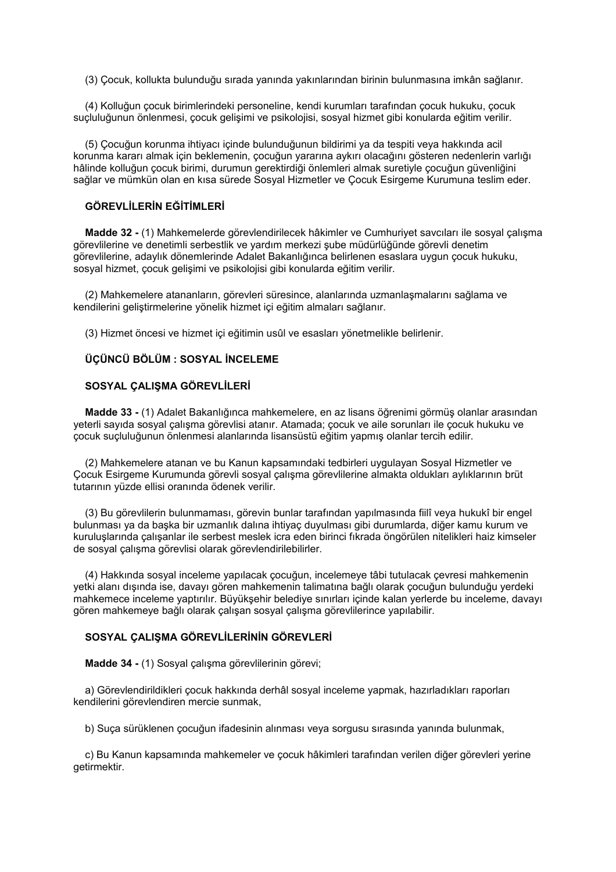(3) Çocuk, kollukta bulunduğu sırada yanında yakınlarından birinin bulunmasına imkân sağlanır.

 (4) Kolluğun çocuk birimlerindeki personeline, kendi kurumları tarafından çocuk hukuku, çocuk suçluluğunun önlenmesi, çocuk gelişimi ve psikolojisi, sosyal hizmet gibi konularda eğitim verilir.

 (5) Çocuğun korunma ihtiyacı içinde bulunduğunun bildirimi ya da tespiti veya hakkında acil korunma kararı almak için beklemenin, çocuğun yararına aykırı olacağını gösteren nedenlerin varlığı hâlinde kolluğun çocuk birimi, durumun gerektirdiği önlemleri almak suretiyle çocuğun güvenliğini sağlar ve mümkün olan en kısa sürede Sosyal Hizmetler ve Çocuk Esirgeme Kurumuna teslim eder.

### **GÖREVLİLERİN EĞİTİMLERİ**

 **Madde 32 -** (1) Mahkemelerde görevlendirilecek hâkimler ve Cumhuriyet savcıları ile sosyal çalışma görevlilerine ve denetimli serbestlik ve yardım merkezi şube müdürlüğünde görevli denetim görevlilerine, adaylık dönemlerinde Adalet Bakanlığınca belirlenen esaslara uygun çocuk hukuku, sosyal hizmet, çocuk gelişimi ve psikolojisi gibi konularda eğitim verilir.

 (2) Mahkemelere atananların, görevleri süresince, alanlarında uzmanlaşmalarını sağlama ve kendilerini geliştirmelerine yönelik hizmet içi eğitim almaları sağlanır.

(3) Hizmet öncesi ve hizmet içi eğitimin usûl ve esasları yönetmelikle belirlenir.

### **ÜÇÜNCÜ BÖLÜM : SOSYAL İNCELEME**

### **SOSYAL ÇALIŞMA GÖREVLİLERİ**

 **Madde 33 -** (1) Adalet Bakanlığınca mahkemelere, en az lisans öğrenimi görmüş olanlar arasından yeterli sayıda sosyal çalışma görevlisi atanır. Atamada; çocuk ve aile sorunları ile çocuk hukuku ve çocuk suçluluğunun önlenmesi alanlarında lisansüstü eğitim yapmış olanlar tercih edilir.

 (2) Mahkemelere atanan ve bu Kanun kapsamındaki tedbirleri uygulayan Sosyal Hizmetler ve Çocuk Esirgeme Kurumunda görevli sosyal çalışma görevlilerine almakta oldukları aylıklarının brüt tutarının yüzde ellisi oranında ödenek verilir.

 (3) Bu görevlilerin bulunmaması, görevin bunlar tarafından yapılmasında fiilî veya hukukî bir engel bulunması ya da başka bir uzmanlık dalına ihtiyaç duyulması gibi durumlarda, diğer kamu kurum ve kuruluşlarında çalışanlar ile serbest meslek icra eden birinci fıkrada öngörülen nitelikleri haiz kimseler de sosyal çalışma görevlisi olarak görevlendirilebilirler.

 (4) Hakkında sosyal inceleme yapılacak çocuğun, incelemeye tâbi tutulacak çevresi mahkemenin yetki alanı dışında ise, davayı gören mahkemenin talimatına bağlı olarak çocuğun bulunduğu yerdeki mahkemece inceleme yaptırılır. Büyükşehir belediye sınırları içinde kalan yerlerde bu inceleme, davayı gören mahkemeye bağlı olarak çalışan sosyal çalışma görevlilerince yapılabilir.

### **SOSYAL ÇALIŞMA GÖREVLİLERİNİN GÖREVLERİ**

 **Madde 34 -** (1) Sosyal çalışma görevlilerinin görevi;

 a) Görevlendirildikleri çocuk hakkında derhâl sosyal inceleme yapmak, hazırladıkları raporları kendilerini görevlendiren mercie sunmak,

b) Suça sürüklenen çocuğun ifadesinin alınması veya sorgusu sırasında yanında bulunmak,

 c) Bu Kanun kapsamında mahkemeler ve çocuk hâkimleri tarafından verilen diğer görevleri yerine getirmektir.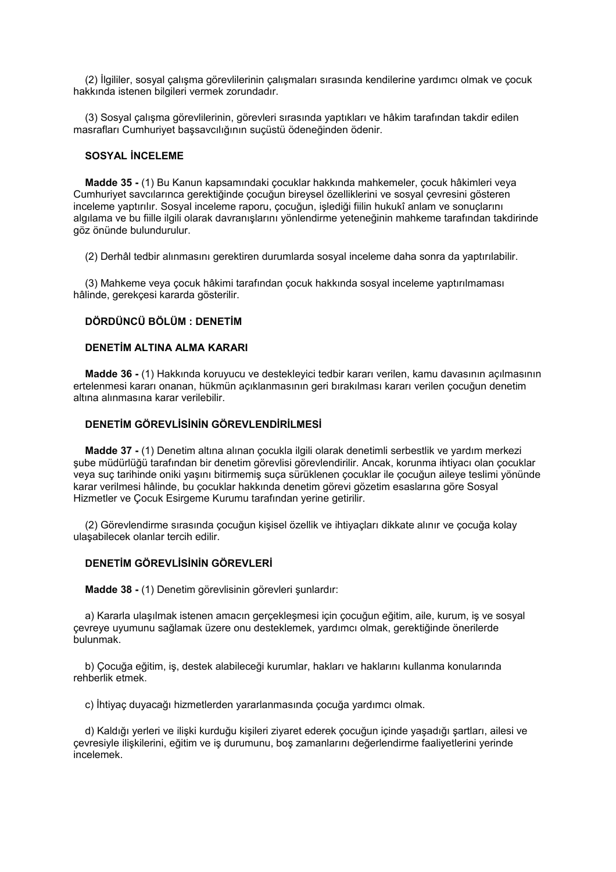(2) İlgililer, sosyal çalışma görevlilerinin çalışmaları sırasında kendilerine yardımcı olmak ve çocuk hakkında istenen bilgileri vermek zorundadır.

 (3) Sosyal çalışma görevlilerinin, görevleri sırasında yaptıkları ve hâkim tarafından takdir edilen masrafları Cumhuriyet başsavcılığının suçüstü ödeneğinden ödenir.

### **SOSYAL İNCELEME**

 **Madde 35 -** (1) Bu Kanun kapsamındaki çocuklar hakkında mahkemeler, çocuk hâkimleri veya Cumhuriyet savcılarınca gerektiğinde çocuğun bireysel özelliklerini ve sosyal çevresini gösteren inceleme yaptırılır. Sosyal inceleme raporu, çocuğun, işlediği fiilin hukukî anlam ve sonuçlarını algılama ve bu fiille ilgili olarak davranışlarını yönlendirme yeteneğinin mahkeme tarafından takdirinde göz önünde bulundurulur.

(2) Derhâl tedbir alınmasını gerektiren durumlarda sosyal inceleme daha sonra da yaptırılabilir.

 (3) Mahkeme veya çocuk hâkimi tarafından çocuk hakkında sosyal inceleme yaptırılmaması hâlinde, gerekçesi kararda gösterilir.

### **DÖRDÜNCÜ BÖLÜM : DENETİM**

### **DENETİM ALTINA ALMA KARARI**

 **Madde 36 -** (1) Hakkında koruyucu ve destekleyici tedbir kararı verilen, kamu davasının açılmasının ertelenmesi kararı onanan, hükmün açıklanmasının geri bırakılması kararı verilen çocuğun denetim altına alınmasına karar verilebilir.

### **DENETİM GÖREVLİSİNİN GÖREVLENDİRİLMESİ**

 **Madde 37 -** (1) Denetim altına alınan çocukla ilgili olarak denetimli serbestlik ve yardım merkezi şube müdürlüğü tarafından bir denetim görevlisi görevlendirilir. Ancak, korunma ihtiyacı olan çocuklar veya suç tarihinde oniki yaşını bitirmemiş suça sürüklenen çocuklar ile çocuğun aileye teslimi yönünde karar verilmesi hâlinde, bu çocuklar hakkında denetim görevi gözetim esaslarına göre Sosyal Hizmetler ve Çocuk Esirgeme Kurumu tarafından yerine getirilir.

 (2) Görevlendirme sırasında çocuğun kişisel özellik ve ihtiyaçları dikkate alınır ve çocuğa kolay ulaşabilecek olanlar tercih edilir.

### **DENETİM GÖREVLİSİNİN GÖREVLERİ**

 **Madde 38 -** (1) Denetim görevlisinin görevleri şunlardır:

 a) Kararla ulaşılmak istenen amacın gerçekleşmesi için çocuğun eğitim, aile, kurum, iş ve sosyal çevreye uyumunu sağlamak üzere onu desteklemek, yardımcı olmak, gerektiğinde önerilerde bulunmak.

 b) Çocuğa eğitim, iş, destek alabileceği kurumlar, hakları ve haklarını kullanma konularında rehberlik etmek.

c) İhtiyaç duyacağı hizmetlerden yararlanmasında çocuğa yardımcı olmak.

 d) Kaldığı yerleri ve ilişki kurduğu kişileri ziyaret ederek çocuğun içinde yaşadığı şartları, ailesi ve çevresiyle ilişkilerini, eğitim ve iş durumunu, boş zamanlarını değerlendirme faaliyetlerini yerinde incelemek.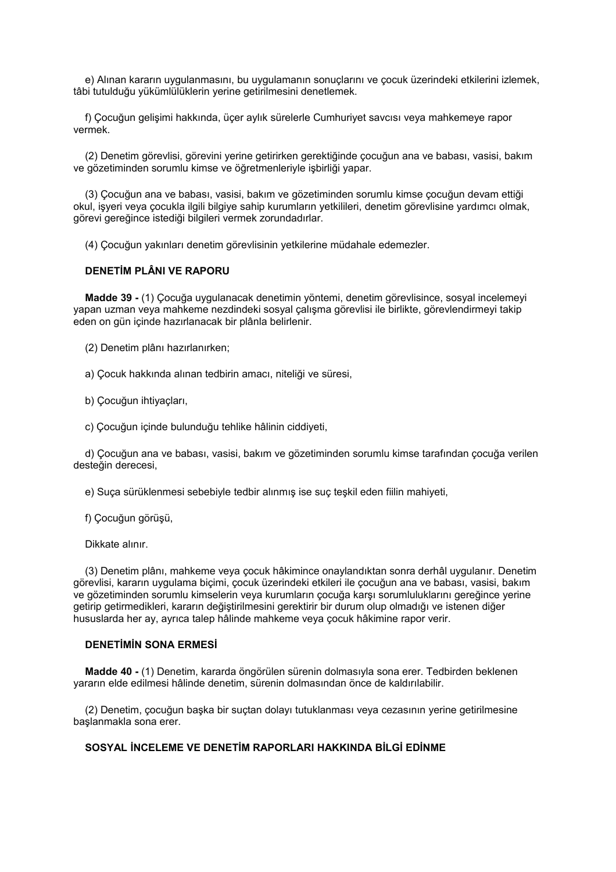e) Alınan kararın uygulanmasını, bu uygulamanın sonuçlarını ve çocuk üzerindeki etkilerini izlemek, tâbi tutulduğu yükümlülüklerin yerine getirilmesini denetlemek.

 f) Çocuğun gelişimi hakkında, üçer aylık sürelerle Cumhuriyet savcısı veya mahkemeye rapor vermek.

 (2) Denetim görevlisi, görevini yerine getirirken gerektiğinde çocuğun ana ve babası, vasisi, bakım ve gözetiminden sorumlu kimse ve öğretmenleriyle işbirliği yapar.

 (3) Çocuğun ana ve babası, vasisi, bakım ve gözetiminden sorumlu kimse çocuğun devam ettiği okul, işyeri veya çocukla ilgili bilgiye sahip kurumların yetkilileri, denetim görevlisine yardımcı olmak, görevi gereğince istediği bilgileri vermek zorundadırlar.

(4) Çocuğun yakınları denetim görevlisinin yetkilerine müdahale edemezler.

### **DENETİM PLÂNI VE RAPORU**

 **Madde 39 -** (1) Çocuğa uygulanacak denetimin yöntemi, denetim görevlisince, sosyal incelemeyi yapan uzman veya mahkeme nezdindeki sosyal çalışma görevlisi ile birlikte, görevlendirmeyi takip eden on gün içinde hazırlanacak bir plânla belirlenir.

(2) Denetim plânı hazırlanırken;

a) Çocuk hakkında alınan tedbirin amacı, niteliği ve süresi,

b) Çocuğun ihtiyaçları,

c) Çocuğun içinde bulunduğu tehlike hâlinin ciddiyeti,

 d) Çocuğun ana ve babası, vasisi, bakım ve gözetiminden sorumlu kimse tarafından çocuğa verilen desteğin derecesi,

e) Suça sürüklenmesi sebebiyle tedbir alınmış ise suç teşkil eden fiilin mahiyeti,

f) Çocuğun görüşü,

Dikkate alınır.

 (3) Denetim plânı, mahkeme veya çocuk hâkimince onaylandıktan sonra derhâl uygulanır. Denetim görevlisi, kararın uygulama biçimi, çocuk üzerindeki etkileri ile çocuğun ana ve babası, vasisi, bakım ve gözetiminden sorumlu kimselerin veya kurumların çocuğa karşı sorumluluklarını gereğince yerine getirip getirmedikleri, kararın değiştirilmesini gerektirir bir durum olup olmadığı ve istenen diğer hususlarda her ay, ayrıca talep hâlinde mahkeme veya çocuk hâkimine rapor verir.

#### **DENETİMİN SONA ERMESİ**

 **Madde 40 -** (1) Denetim, kararda öngörülen sürenin dolmasıyla sona erer. Tedbirden beklenen yararın elde edilmesi hâlinde denetim, sürenin dolmasından önce de kaldırılabilir.

 (2) Denetim, çocuğun başka bir suçtan dolayı tutuklanması veya cezasının yerine getirilmesine başlanmakla sona erer.

### **SOSYAL İNCELEME VE DENETİM RAPORLARI HAKKINDA BİLGİ EDİNME**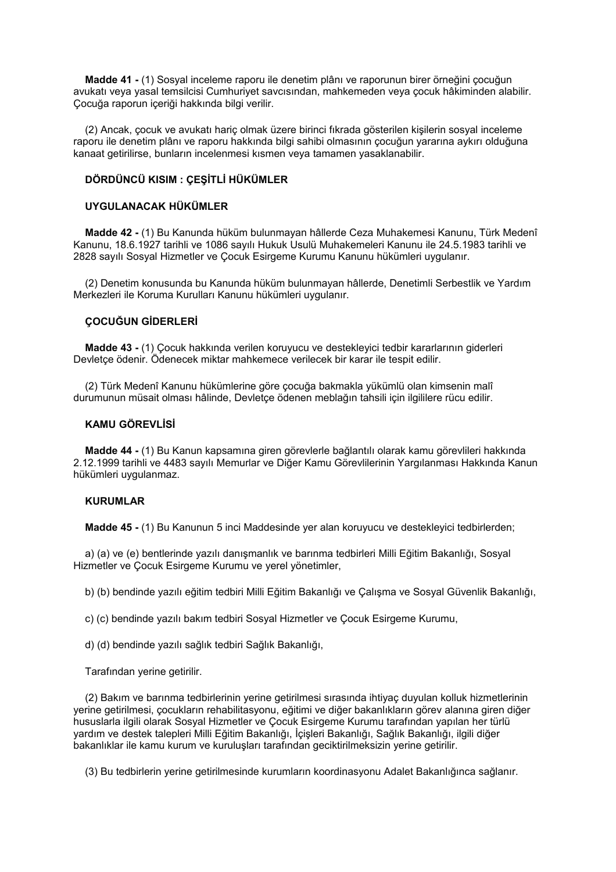**Madde 41 -** (1) Sosyal inceleme raporu ile denetim plânı ve raporunun birer örneğini çocuğun avukatı veya yasal temsilcisi Cumhuriyet savcısından, mahkemeden veya çocuk hâkiminden alabilir. Çocuğa raporun içeriği hakkında bilgi verilir.

 (2) Ancak, çocuk ve avukatı hariç olmak üzere birinci fıkrada gösterilen kişilerin sosyal inceleme raporu ile denetim plânı ve raporu hakkında bilgi sahibi olmasının çocuğun yararına aykırı olduğuna kanaat getirilirse, bunların incelenmesi kısmen veya tamamen yasaklanabilir.

### **DÖRDÜNCÜ KISIM : ÇEŞİTLİ HÜKÜMLER**

### **UYGULANACAK HÜKÜMLER**

 **Madde 42 -** (1) Bu Kanunda hüküm bulunmayan hâllerde Ceza Muhakemesi Kanunu, Türk Medenî Kanunu, 18.6.1927 tarihli ve 1086 sayılı Hukuk Usulü Muhakemeleri Kanunu ile 24.5.1983 tarihli ve 2828 sayılı Sosyal Hizmetler ve Çocuk Esirgeme Kurumu Kanunu hükümleri uygulanır.

 (2) Denetim konusunda bu Kanunda hüküm bulunmayan hâllerde, Denetimli Serbestlik ve Yardım Merkezleri ile Koruma Kurulları Kanunu hükümleri uygulanır.

### **ÇOCUĞUN GİDERLERİ**

 **Madde 43 -** (1) Çocuk hakkında verilen koruyucu ve destekleyici tedbir kararlarının giderleri Devletçe ödenir. Ödenecek miktar mahkemece verilecek bir karar ile tespit edilir.

 (2) Türk Medenî Kanunu hükümlerine göre çocuğa bakmakla yükümlü olan kimsenin malî durumunun müsait olması hâlinde, Devletçe ödenen meblağın tahsili için ilgililere rücu edilir.

### **KAMU GÖREVLİSİ**

 **Madde 44 -** (1) Bu Kanun kapsamına giren görevlerle bağlantılı olarak kamu görevlileri hakkında 2.12.1999 tarihli ve 4483 sayılı Memurlar ve Diğer Kamu Görevlilerinin Yargılanması Hakkında Kanun hükümleri uygulanmaz.

### **KURUMLAR**

 **Madde 45 -** (1) Bu Kanunun 5 inci Maddesinde yer alan koruyucu ve destekleyici tedbirlerden;

 a) (a) ve (e) bentlerinde yazılı danışmanlık ve barınma tedbirleri Milli Eğitim Bakanlığı, Sosyal Hizmetler ve Çocuk Esirgeme Kurumu ve yerel yönetimler,

b) (b) bendinde yazılı eğitim tedbiri Milli Eğitim Bakanlığı ve Çalışma ve Sosyal Güvenlik Bakanlığı,

c) (c) bendinde yazılı bakım tedbiri Sosyal Hizmetler ve Çocuk Esirgeme Kurumu,

d) (d) bendinde yazılı sağlık tedbiri Sağlık Bakanlığı,

Tarafından yerine getirilir.

 (2) Bakım ve barınma tedbirlerinin yerine getirilmesi sırasında ihtiyaç duyulan kolluk hizmetlerinin yerine getirilmesi, çocukların rehabilitasyonu, eğitimi ve diğer bakanlıkların görev alanına giren diğer hususlarla ilgili olarak Sosyal Hizmetler ve Çocuk Esirgeme Kurumu tarafından yapılan her türlü yardım ve destek talepleri Milli Eğitim Bakanlığı, İçişleri Bakanlığı, Sağlık Bakanlığı, ilgili diğer bakanlıklar ile kamu kurum ve kuruluşları tarafından geciktirilmeksizin yerine getirilir.

(3) Bu tedbirlerin yerine getirilmesinde kurumların koordinasyonu Adalet Bakanlığınca sağlanır.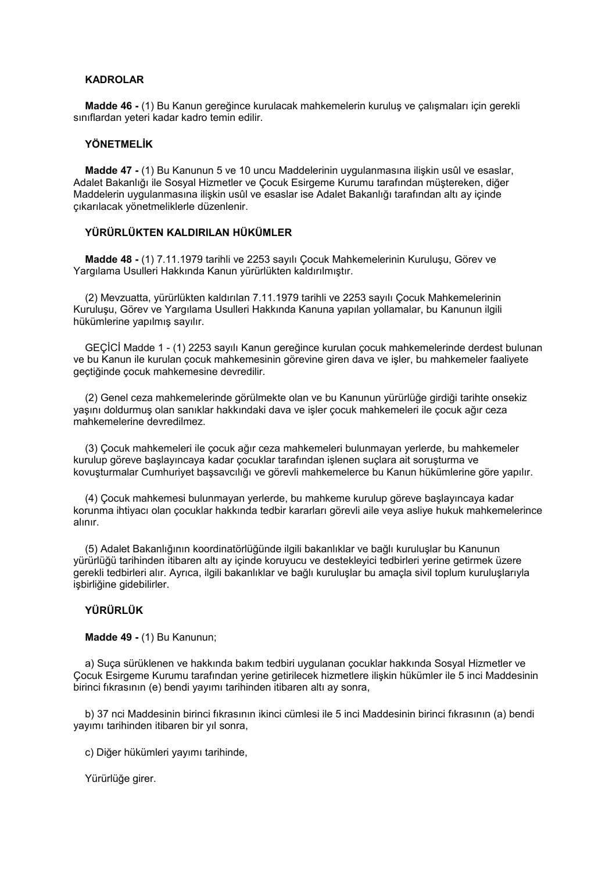### **KADROLAR**

 **Madde 46 -** (1) Bu Kanun gereğince kurulacak mahkemelerin kuruluş ve çalışmaları için gerekli sınıflardan yeteri kadar kadro temin edilir.

### **YÖNETMELİK**

 **Madde 47 -** (1) Bu Kanunun 5 ve 10 uncu Maddelerinin uygulanmasına ilişkin usûl ve esaslar, Adalet Bakanlığı ile Sosyal Hizmetler ve Çocuk Esirgeme Kurumu tarafından müştereken, diğer Maddelerin uygulanmasına ilişkin usûl ve esaslar ise Adalet Bakanlığı tarafından altı ay içinde çıkarılacak yönetmeliklerle düzenlenir.

### **YÜRÜRLÜKTEN KALDIRILAN HÜKÜMLER**

 **Madde 48 -** (1) 7.11.1979 tarihli ve 2253 sayılı Çocuk Mahkemelerinin Kuruluşu, Görev ve Yargılama Usulleri Hakkında Kanun yürürlükten kaldırılmıştır.

 (2) Mevzuatta, yürürlükten kaldırılan 7.11.1979 tarihli ve 2253 sayılı Çocuk Mahkemelerinin Kuruluşu, Görev ve Yargılama Usulleri Hakkında Kanuna yapılan yollamalar, bu Kanunun ilgili hükümlerine yapılmış sayılır.

 GEÇİCİ Madde 1 - (1) 2253 sayılı Kanun gereğince kurulan çocuk mahkemelerinde derdest bulunan ve bu Kanun ile kurulan çocuk mahkemesinin görevine giren dava ve işler, bu mahkemeler faaliyete geçtiğinde çocuk mahkemesine devredilir.

 (2) Genel ceza mahkemelerinde görülmekte olan ve bu Kanunun yürürlüğe girdiği tarihte onsekiz yaşını doldurmuş olan sanıklar hakkındaki dava ve işler çocuk mahkemeleri ile çocuk ağır ceza mahkemelerine devredilmez.

 (3) Çocuk mahkemeleri ile çocuk ağır ceza mahkemeleri bulunmayan yerlerde, bu mahkemeler kurulup göreve başlayıncaya kadar çocuklar tarafından işlenen suçlara ait soruşturma ve kovuşturmalar Cumhuriyet başsavcılığı ve görevli mahkemelerce bu Kanun hükümlerine göre yapılır.

 (4) Çocuk mahkemesi bulunmayan yerlerde, bu mahkeme kurulup göreve başlayıncaya kadar korunma ihtiyacı olan çocuklar hakkında tedbir kararları görevli aile veya asliye hukuk mahkemelerince alınır.

 (5) Adalet Bakanlığının koordinatörlüğünde ilgili bakanlıklar ve bağlı kuruluşlar bu Kanunun yürürlüğü tarihinden itibaren altı ay içinde koruyucu ve destekleyici tedbirleri yerine getirmek üzere gerekli tedbirleri alır. Ayrıca, ilgili bakanlıklar ve bağlı kuruluşlar bu amaçla sivil toplum kuruluşlarıyla işbirliğine gidebilirler.

### **YÜRÜRLÜK**

 **Madde 49 -** (1) Bu Kanunun;

 a) Suça sürüklenen ve hakkında bakım tedbiri uygulanan çocuklar hakkında Sosyal Hizmetler ve Çocuk Esirgeme Kurumu tarafından yerine getirilecek hizmetlere ilişkin hükümler ile 5 inci Maddesinin birinci fıkrasının (e) bendi yayımı tarihinden itibaren altı ay sonra,

 b) 37 nci Maddesinin birinci fıkrasının ikinci cümlesi ile 5 inci Maddesinin birinci fıkrasının (a) bendi yayımı tarihinden itibaren bir yıl sonra,

c) Diğer hükümleri yayımı tarihinde,

Yürürlüğe girer.